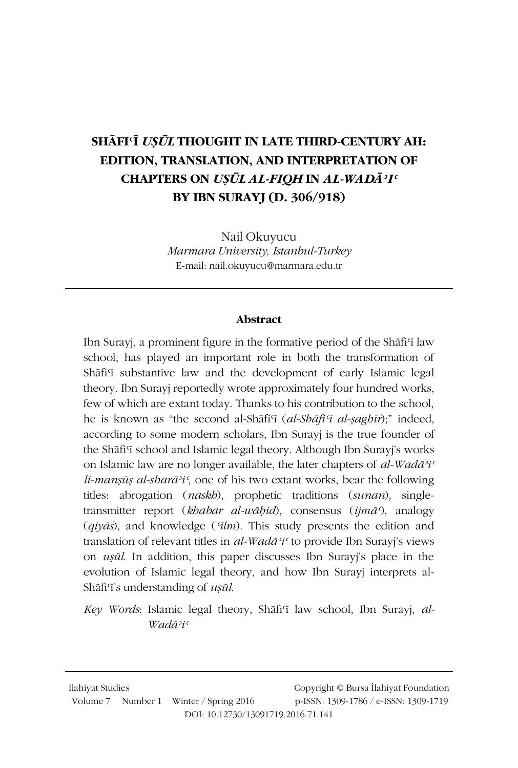## SHĀFI USŪL THOUGHT IN LATE THIRD-CENTURY AH: EDITION, TRANSLATION, AND INTERPRETATION OF **CHAPTERS ON USUL AL-FIOH IN AL-WADĀ?I<sup>c</sup> BY IBN SURAYI (D. 306/918)**

Nail Okuyucu Marmara University, Istanbul-Turkey E-mail: nail.okuyucu@marmara.edu.tr

#### Abstract

Ibn Surayi, a prominent figure in the formative period of the Shafi'i law school, has played an important role in both the transformation of Shāfi'i substantive law and the development of early Islamic legal theory. Ibn Surayi reportedly wrote approximately four hundred works, few of which are extant today. Thanks to his contribution to the school, he is known as "the second al-Shāfi'ī (al-Shāfi'ī al-saghīr);" indeed, according to some modern scholars, Ibn Surayj is the true founder of the Shafi'i school and Islamic legal theory. Although Ibn Surayj's works on Islamic law are no longer available, the later chapters of al-Wadā'i'  $li$ -mansūs al-sharā'i', one of his two extant works, bear the following titles: abrogation (naskb), prophetic traditions (sunan), singletransmitter report (khabar al-wābid), consensus (ijmā<sup>5</sup>), analogy  $(qiy\bar{a}s)$ , and knowledge (*'ilm*). This study presents the edition and translation of relevant titles in al-Wadā<sup>2</sup>i<sup>c</sup> to provide Ibn Surayi's views on ușul. In addition, this paper discusses Ibn Surayj's place in the evolution of Islamic legal theory, and how Ibn Surayi interprets al-Shāfi'i's understanding of uṣūl.

Key Words: Islamic legal theory, Shāfi'i law school, Ibn Surayj, al-Wadā<sup>y</sup>i<sup>c</sup>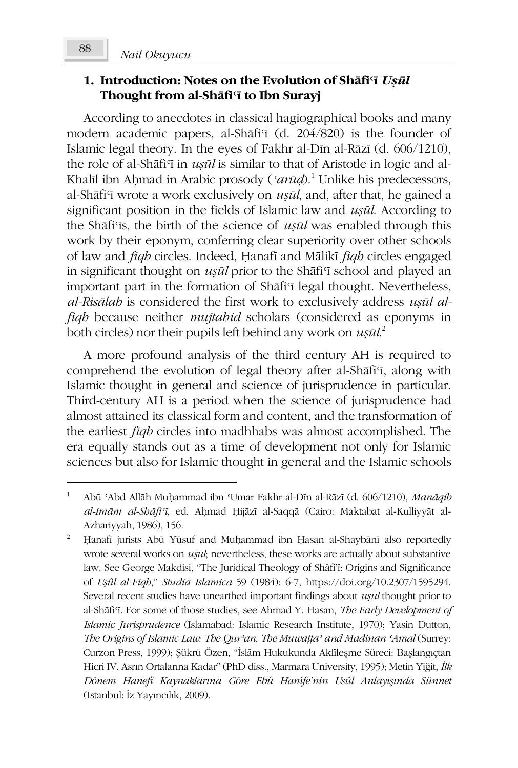#### Nail Okuvucu

### 1. Introduction: Notes on the Evolution of Shafi'i Usul Thought from al-Shafi<sup>c</sup> to Ibn Surayj

According to anecdotes in classical hagiographical books and many modern academic papers, al-Shafi'i (d. 204/820) is the founder of Islamic legal theory. In the eyes of Fakhr al-Din al-Rāzī (d. 606/1210), the role of al-Shafi'i in *usul* is similar to that of Aristotle in logic and al-Khalīl ibn Aḥmad in Arabic prosody ('arūd).<sup>1</sup> Unlike his predecessors, al-Shāfi'ī wrote a work exclusively on ușul, and, after that, he gained a significant position in the fields of Islamic law and usul. According to the Shāfi'is, the birth of the science of *usūl* was enabled through this work by their eponym, conferring clear superiority over other schools of law and *fiqh* circles. Indeed, Hanafi and Mālikī *fiqh* circles engaged in significant thought on *usul* prior to the Shafi'i school and played an important part in the formation of Shafi'i legal thought. Nevertheless, al-Risālah is considered the first work to exclusively address usūl alfigh because neither *mujtabid* scholars (considered as eponyms in both circles) nor their pupils left behind any work on  $u$ sūl.<sup>2</sup>

A more profound analysis of the third century AH is required to comprehend the evolution of legal theory after al-Shafi'i, along with Islamic thought in general and science of jurisprudence in particular. Third-century AH is a period when the science of jurisprudence had almost attained its classical form and content, and the transformation of the earliest *figh* circles into madhhabs was almost accomplished. The era equally stands out as a time of development not only for Islamic sciences but also for Islamic thought in general and the Islamic schools

Abū 'Abd Allāh Muḥammad ibn 'Umar Fakhr al-Dīn al-Rāzī (d. 606/1210), Manāqib al-Imām al-Shāfi'ī, ed. Aḥmad Ḥijāzī al-Saqqā (Cairo: Maktabat al-Kulliyyāt al-Azhariyyah, 1986), 156.

 $\overline{2}$ Hanafi jurists Abū Yūsuf and Muḥammad ibn Ḥasan al-Shaybānī also reportedly wrote several works on *usūl*; nevertheless, these works are actually about substantive law. See George Makdisi, "The Juridical Theology of Shâfi'î: Origins and Significance of Ușûl al-Fiqh," Studia Islamica 59 (1984): 6-7, https://doi.org/10.2307/1595294. Several recent studies have unearthed important findings about usul thought prior to al-Shāfi'i. For some of those studies, see Ahmad Y. Hasan, The Early Development of Islamic Jurisprudence (Islamabad: Islamic Research Institute, 1970); Yasin Dutton, The Origins of Islamic Law: The Qur'an, The Muwatta' and Madinan 'Amal (Surrey: Curzon Press, 1999); Şükrü Özen, "İslâm Hukukunda Aklîleşme Süreci: Başlangıçtan Hicri IV. Asrın Ortalarına Kadar" (PhD diss., Marmara University, 1995); Metin Yiğit, İlk Dönem Hanefî Kaynaklarına Göre Ebû Hanîfe'nin Usûl Anlayışında Sünnet (Istanbul: İz Yayıncılık, 2009).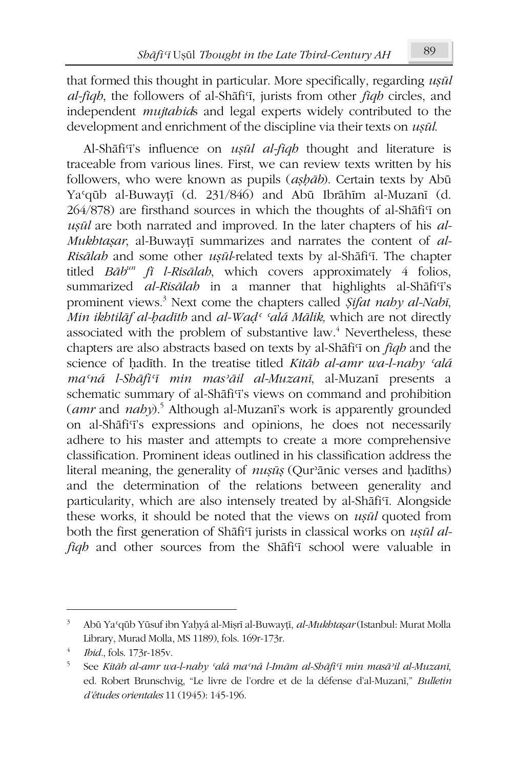that formed this thought in particular. More specifically, regarding usul al-figh, the followers of al-Shafi'i, jurists from other figh circles, and independent *mujtabids* and legal experts widely contributed to the development and enrichment of the discipline via their texts on usul.

Al-Shāfi'i's influence on *ușul al-fiqh* thought and literature is traceable from various lines. First, we can review texts written by his followers, who were known as pupils (ashab). Certain texts by Abū Ya'qūb al-Buwaytī (d. 231/846) and Abū Ibrāhīm al-Muzanī (d. 264/878) are firsthand sources in which the thoughts of al-Shafi'i on usūl are both narrated and improved. In the later chapters of his al-Mukhtaşar, al-Buwayți summarizes and narrates the content of al-Risālah and some other ușūl-related texts by al-Shāfi'i. The chapter titled  $B\bar{a}b^{un}$  fi l-Risālah, which covers approximately 4 folios, summarized al-Risālah in a manner that highlights al-Shāfi'i's prominent views.<sup>3</sup> Next come the chapters called *Sifat naby al-Nabi*, Min ikhtilāf al-hadīth and al-Wad<sup>c</sup> 'alá Mālik, which are not directly associated with the problem of substantive law.<sup>4</sup> Nevertheless, these chapters are also abstracts based on texts by al-Shafi'i on *figh* and the science of hadīth. In the treatise titled Kitāb al-amr wa-l-naby 'alá ma'ná l-Shāfi'ī min mas'āil al-Muzanī, al-Muzanī presents a schematic summary of al-Shafi'i's views on command and prohibition  $(amr$  and  $naby$ <sup>5</sup>. Although al-Muzani's work is apparently grounded on al-Shāfi'i's expressions and opinions, he does not necessarily adhere to his master and attempts to create a more comprehensive classification. Prominent ideas outlined in his classification address the literal meaning, the generality of *nusūs* (Qur'anic verses and hadiths) and the determination of the relations between generality and particularity, which are also intensely treated by al-Shāfi'i. Alongside these works, it should be noted that the views on *usul* quoted from both the first generation of Shafi'i jurists in classical works on usul alfigh and other sources from the Shafi'i school were valuable in

 $3 -$ Abū Ya'qūb Yūsuf ibn Yaḥyá al-Miṣrī al-Buwayṭī, al-Mukhtaṣar (Istanbul: Murat Molla Library, Murad Molla, MS 1189), fols. 169r-173r.

Ibid., fols. 173r-185v.

 $5<sup>7</sup>$ See Kitāb al-amr wa-l-nahy 'alá ma'ná l-Imām al-Shāfi'ī min masā'il al-Muzanī, ed. Robert Brunschvig, "Le livre de l'ordre et de la défense d'al-Muzani," Bulletin d'études orientales 11 (1945): 145-196.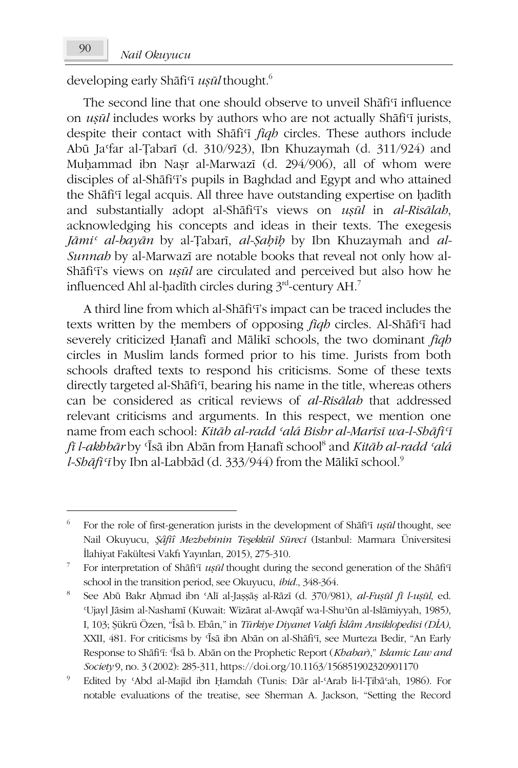developing early Shafi<sup>'</sup> *usul* thought.<sup>6</sup>

The second line that one should observe to unveil Shafis influence on *usūl* includes works by authors who are not actually Shāfi'i jurists, despite their contact with Shafi'i figh circles. These authors include Abū Ja'far al-Țabarī (d. 310/923), Ibn Khuzaymah (d. 311/924) and Muhammad ibn Nasr al-Marwazī (d. 294/906), all of whom were disciples of al-Shāfi'i's pupils in Baghdad and Egypt and who attained the Shafi'i legal acquis. All three have outstanding expertise on hadith and substantially adopt al-Shafi'i's views on usul in al-Risalah, acknowledging his concepts and ideas in their texts. The exegesis Jāmi<sup>c</sup> al-bayān by al-Țabarī, al-Şabīb by Ibn Khuzaymah and al-Sunnab by al-Marwazi are notable books that reveal not only how al-Shāfi'i's views on *usūl* are circulated and perceived but also how he influenced Ahl al-hadīth circles during 3<sup>rd</sup>-century AH.<sup>7</sup>

A third line from which al-Shafi<sup>q</sup>'s impact can be traced includes the texts written by the members of opposing *figh* circles. Al-Shafi'i had severely criticized Hanafi and Mālikī schools, the two dominant figh circles in Muslim lands formed prior to his time. Jurists from both schools drafted texts to respond his criticisms. Some of these texts directly targeted al-Shāfi'i, bearing his name in the title, whereas others can be considered as critical reviews of al-Risālah that addressed relevant criticisms and arguments. In this respect, we mention one name from each school: Kitāb al-radd 'alá Bishr al-Marīsī wa-l-Shāfi'ī *fī l-akbbār* by 'Īsā ibn Abān from Hanafī school<sup>8</sup> and *Kitāb al-radd 'alá* l-Shāfi'ī by Ibn al-Labbād (d. 333/944) from the Mālikī school.<sup>9</sup>

<sup>6</sup> For the role of first-generation jurists in the development of Shafi'i usul thought, see Nail Okuyucu, *Şâfîî Mezhebinin Teşekkül Süreci* (Istanbul: Marmara Üniversitesi İlahiyat Fakültesi Vakfı Yayınları, 2015), 275-310.

For interpretation of Shafi<sup>T</sup> *usul* thought during the second generation of the ShafiT school in the transition period, see Okuyucu, ibid., 348-364.

 $\mathbf{s}$ See Abū Bakr Aḥmad ibn 'Alī al-Jașșāș al-Rāzī (d. 370/981), al-Fușūl fi l-ușūl, ed. 'Ujayl Jāsim al-Nashamī (Kuwait: Wizārat al-Awqāf wa-l-Shu'ūn al-Islāmiyyah, 1985), I, 103; Şükrü Özen, "Îsâ b. Ebân," in Türkiye Diyanet Vakfı İslâm Ansiklopedisi (DİA), XXII, 481. For criticisms by 'Īsā ibn Abān on al-Shāfi'i, see Murteza Bedir, "An Early Response to Shāfi'i: 'Īsā b. Abān on the Prophetic Report (Khabar)," Islamic Law and Society 9, no. 3 (2002): 285-311, https://doi.org/10.1163/156851902320901170

Edited by 'Abd al-Majīd ibn Ḥamdah (Tunis: Dār al-'Arab li-l-Tibā'ah, 1986). For notable evaluations of the treatise, see Sherman A. Jackson, "Setting the Record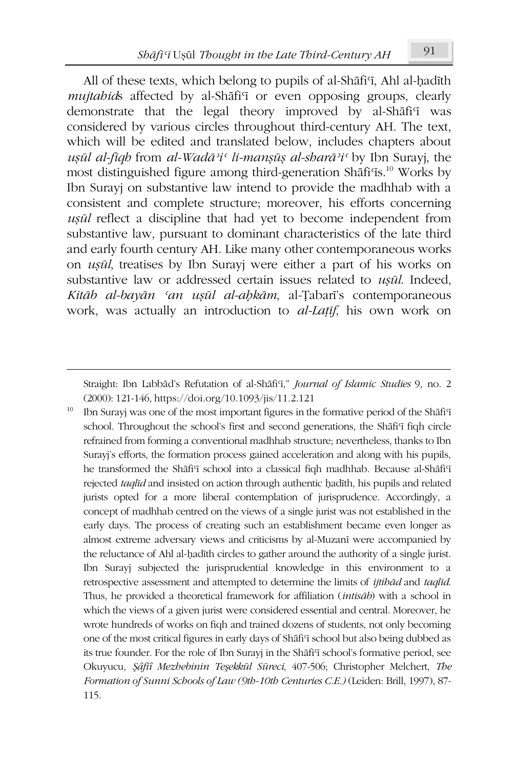All of these texts, which belong to pupils of al-Shafi'i, Ahl al-hadith mujtabids affected by al-Shāfi'i or even opposing groups, clearly demonstrate that the legal theory improved by al-Shafi'i was considered by various circles throughout third-century AH. The text, which will be edited and translated below, includes chapters about usūl al-fiqh from al-Wadā<sup>3</sup>i<sup>c</sup> li-mansūs al-sharā<sup>3</sup>i<sup>c</sup> by Ibn Surayj, the most distinguished figure among third-generation Shāfi'is.<sup>10</sup> Works by Ibn Suravi on substantive law intend to provide the madhhab with a consistent and complete structure; moreover, his efforts concerning uşūl reflect a discipline that had yet to become independent from substantive law, pursuant to dominant characteristics of the late third and early fourth century AH. Like many other contemporaneous works on *usul*, treatises by Ibn Surayi were either a part of his works on substantive law or addressed certain issues related to usul. Indeed, Kitāb al-bayān 'an usūl al-ahkām, al-Tabarī's contemporaneous work, was actually an introduction to *al-Latif*, his own work on

Ibn Surayj was one of the most important figures in the formative period of the Shafi'i school. Throughout the school's first and second generations, the Shafi'i figh circle refrained from forming a conventional madhhab structure; nevertheless, thanks to Ibn Surayj's efforts, the formation process gained acceleration and along with his pupils, he transformed the Shafi'i school into a classical fiqh madhhab. Because al-Shafi'i rejected taqlid and insisted on action through authentic hadith, his pupils and related jurists opted for a more liberal contemplation of jurisprudence. Accordingly, a concept of madhhab centred on the views of a single jurist was not established in the early days. The process of creating such an establishment became even longer as almost extreme adversary views and criticisms by al-Muzanī were accompanied by the reluctance of Ahl al-hadīth circles to gather around the authority of a single jurist. Ibn Surayj subjected the jurisprudential knowledge in this environment to a retrospective assessment and attempted to determine the limits of *ijtibad* and taqlid. Thus, he provided a theoretical framework for affiliation (intisab) with a school in which the views of a given jurist were considered essential and central. Moreover, he wrote hundreds of works on fiqh and trained dozens of students, not only becoming one of the most critical figures in early days of Shafi'i school but also being dubbed as its true founder. For the role of Ibn Surayj in the Shāfi'i school's formative period, see Okuyucu, Şâfiî Mezhebinin Teşekkül Süreci, 407-506; Christopher Melchert, The Formation of Sunni Schools of Law (9th-10th Centuries C.E.) (Leiden: Brill, 1997), 87-115.

Straight: Ibn Labbād's Refutation of al-Shāfi'i," Journal of Islamic Studies 9, no. 2 (2000): 121-146, https://doi.org/10.1093/jis/11.2.121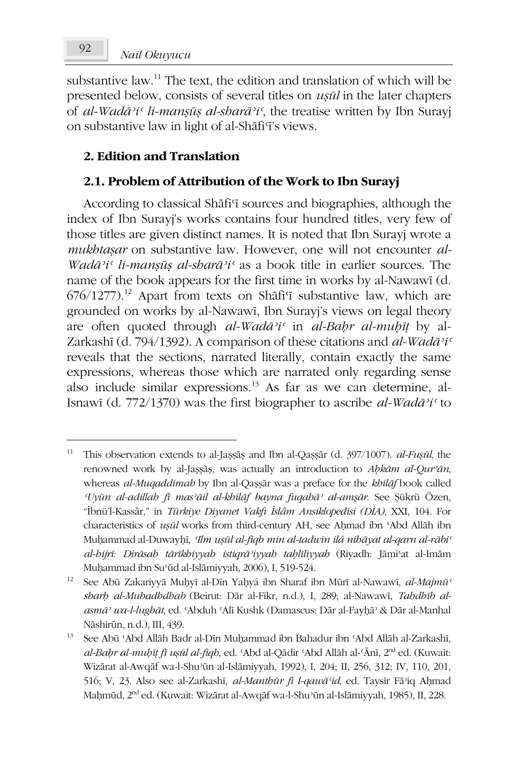Nail Okuvucu

substantive law.<sup>11</sup> The text, the edition and translation of which will be presented below, consists of several titles on *usul* in the later chapters of al-Wadā'i' li-manșūș al-sharā'i', the treatise written by Ibn Surayj on substantive law in light of al-Shāfi'i's views.

### 2. Edition and Translation

### 2.1. Problem of Attribution of the Work to Ibn Surayj

According to classical Shafi'i sources and biographies, although the index of Ibn Surayj's works contains four hundred titles, very few of those titles are given distinct names. It is noted that Ibn Surayj wrote a mukhtasar on substantive law. However, one will not encounter al-Wadā'i' li-mansūs al-sharā'i' as a book title in earlier sources. The name of the book appears for the first time in works by al-Nawawi (d.  $676/1277$ ).<sup>12</sup> Apart from texts on Shafi<sup>q</sup> substantive law, which are grounded on works by al-Nawawi, Ibn Surayi's views on legal theory are often quoted through al-Wadā'i' in al-Bahr al-muhīț by al-Zarkashī (d. 794/1392). A comparison of these citations and al-Wadā'i' reveals that the sections, narrated literally, contain exactly the same expressions, whereas those which are narrated only regarding sense also include similar expressions.<sup>13</sup> As far as we can determine, al-Isnawi (d. 772/1370) was the first biographer to ascribe al-Wadā'i' to

This observation extends to al-Jașșăș and Ibn al-Qașșăr (d. 397/1007). al-Fușūl, the renowned work by al-Jassās, was actually an introduction to Ahkām al-Qur'ān, whereas al-Muqaddimah by Ibn al-Qașșăr was a preface for the khilāf book called Uyūn al-adillah fi mas'āil al-khilāf bayna fuqahā' al-amşār. See Şükrü Özen, "İbnü'l-Kassâr," in Türkiye Diyanet Vakfı İslâm Ansiklopedisi (DİA), XXI, 104. For characteristics of *usūl* works from third-century AH, see Ahmad ibn 'Abd Allāh ibn Muhammad al-Duwayhī, Ilm ușūl al-fiqh min al-tadwīn ilá nihāyat al-qarn al-rābi<sup>c</sup> al-bijrī: Dirāsab tārīkbiyyab istigrā<sup>3</sup>iyyab tablīliyyab (Riyadh: Jāmi'at al-Imām Muhammad ibn Su'ūd al-Islāmiyyah, 2006), I, 519-524.

 $12<sup>12</sup>$ See Abū Zakariyyā Muhyī al-Dīn Yahyá ibn Sharaf ibn Mūrī al-Nawawī, al-Majmū<sup>c</sup> sharb al-Muhadhdhab (Beirut: Dār al-Fikr, n.d.), I, 289; al-Nawawī, Tahdhīb alasmā' wa-l-lughāt, ed. 'Abduh 'Alī Kushk (Damascus: Dār al-Fayḥā' & Dār al-Manhal Nāshirūn, n.d.), III, 439.

<sup>13</sup> See Abū 'Abd Allāh Badr al-Dīn Muhammad ibn Bahadur ibn 'Abd Allāh al-Zarkashī, al-Bahr al-muhīt fī ușūl al-fiqh, ed. 'Abd al-Qādir 'Abd Allāh al-'Ānī, 2<sup>nd</sup> ed. (Kuwait: Wizārat al-Awqāf wa-l-Shu'ūn al-Islāmiyyah, 1992), I, 204; II, 256, 312; IV, 110, 201, 516; V, 23. Also see al-Zarkashī, al-Manthūr fī l-qawā'id, ed. Taysīr Fā'iq Ahmad Mahmūd, 2<sup>nd</sup> ed. (Kuwait: Wizārat al-Awqāf wa-l-Shu'ūn al-Islāmiyyah, 1985), II, 228.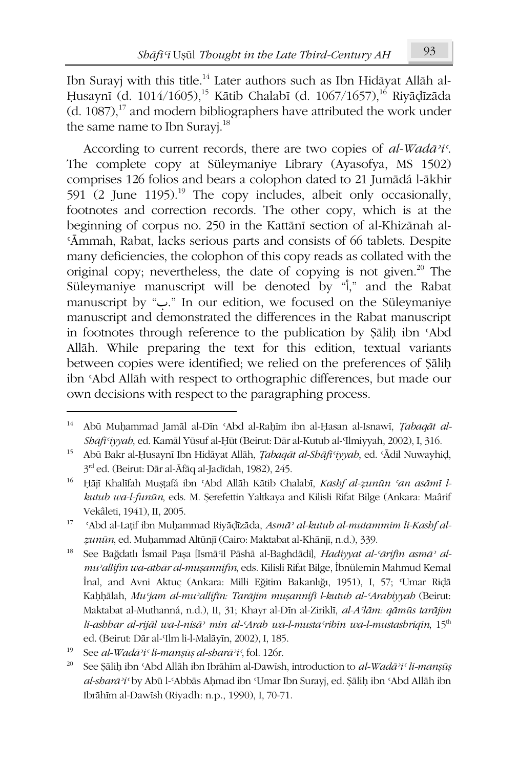Ibn Surayj with this title.<sup>14</sup> Later authors such as Ibn Hidāyat Allāh al-Husaynī (d. 1014/1605),<sup>15</sup> Kātib Chalabī (d. 1067/1657),<sup>16</sup> Riyādīzāda  $(d. 1087).$ <sup>17</sup> and modern bibliographers have attributed the work under the same name to Ibn Surayi.<sup>18</sup>

According to current records, there are two copies of  $al$ -Wadā<sup>3</sup>i'. The complete copy at Süleymaniye Library (Ayasofya, MS 1502) comprises 126 folios and bears a colophon dated to 21 Jumādá l-ākhir 591 (2 June 1195).<sup>19</sup> The copy includes, albeit only occasionally, footnotes and correction records. The other copy, which is at the beginning of corpus no. 250 in the Kattānī section of al-Khizānah al-'Āmmah, Rabat, lacks serious parts and consists of 66 tablets. Despite many deficiencies, the colophon of this copy reads as collated with the original copy; nevertheless, the date of copying is not given.<sup>20</sup> The Süleymaniye manuscript will be denoted by "," and the Rabat manuscript by ". " In our edition, we focused on the Süleymaniye manuscript and demonstrated the differences in the Rabat manuscript in footnotes through reference to the publication by Şāliḥ ibn 'Abd Allāh. While preparing the text for this edition, textual variants between copies were identified; we relied on the preferences of Salih ibn 'Abd Allāh with respect to orthographic differences, but made our own decisions with respect to the paragraphing process.

 $14$ Abū Muhammad Jamāl al-Dīn 'Abd al-Rahīm ibn al-Ḥasan al-Isnawī, Țabaqāt al-Shāfi'iyyah, ed. Kamāl Yūsuf al-Ḥūt (Beirut: Dār al-Kutub al-'Ilmiyyah, 2002), I, 316.

<sup>15</sup> Abū Bakr al-Ḥusaynī Ibn Hidāyat Allāh, *Ţabaqāt al-Shāfi iyyah*, ed. 'Ādil Nuwayhid, 3rd ed. (Beirut: Dār al-Āfāq al-Jadīdah, 1982), 245.

<sup>16</sup> Hājī Khalīfah Mustafá ibn 'Abd Allāh Kātib Chalabī, Kashf al-zunūn 'an asāmī lkutub wa-l-funūn, eds. M. Şerefettin Yaltkaya and Kilisli Rifat Bilge (Ankara: Maârif Vekâleti, 1941), II, 2005.

<sup>17</sup> 'Abd al-Lațif ibn Muhammad Riyādīzāda, Asmā' al-kutub al-mutammim li-Kashf alzunūn, ed. Muhammad Altūnjī (Cairo: Maktabat al-Khānjī, n.d.), 339.

<sup>18</sup> See Bağdatlı İsmail Paşa [Ismā il Pāshā al-Baghdādī], Hadiyyat al-'ārifin asmā' almu'allifin wa-āthār al-musannifin, eds. Kilisli Rifat Bilge, İbnülemin Mahmud Kemal İnal, and Avni Aktuç (Ankara: Milli Eğitim Bakanlığı, 1951), I, 57; 'Umar Riçlā Kaḥḥālah, Mu'jam al-mu'allifīn: Tarājim muṣannifī l-kutub al-'Arabiyyah (Beirut: Maktabat al-Muthanná, n.d.), II, 31; Khayr al-Dīn al-Ziriklī, al-A lām: qāmūs tarājim li-ashhar al-rijāl wa-l-nisā<sup>,</sup> min al-'Arab wa-l-musta'ribīn wa-l-mustashriqīn, 15<sup>th</sup> ed. (Beirut: Dār al-Ilm li-l-Malāyīn, 2002), I, 185.

<sup>19</sup> See al-Wadā'i' li-manșūș al-sharā'i', fol. 126r.

 $20\,$ See Şāliḥ ibn 'Abd Allāh ibn Ibrāhīm al-Dawīsh, introduction to al-Wadā'i' li-manșūș al-sharā'i' by Abū l-'Abbās Aḥmad ibn 'Umar Ibn Surayj, ed. Șāliḥ ibn 'Abd Allāh ibn Ibrāhīm al-Dawīsh (Riyadh: n.p., 1990), I, 70-71.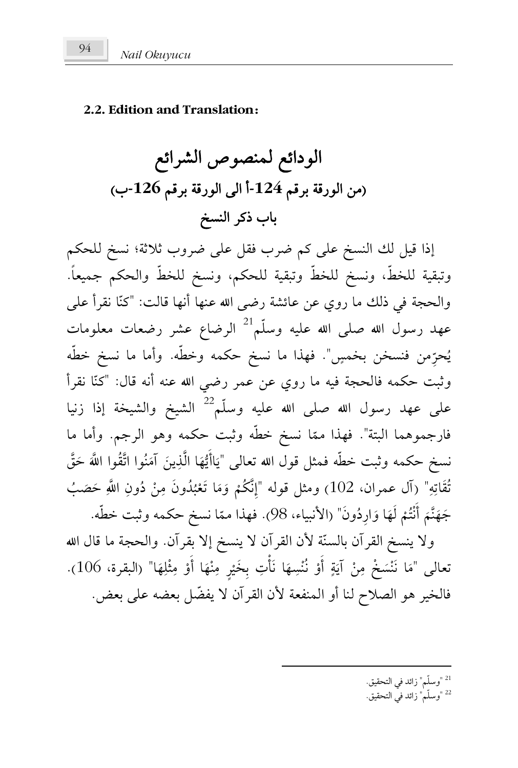#### **2.2. Edition and Translation:**

اijĤداďÐ ijāĭĩĤص اóýĤاďÐ (ب**-126** ħĜóÖ ÙĜرijĤا ĵĤا أ**-124** ħĜóÖ ÙĜرijĤا īĨ% ÓÖب ذóĠ اëùĭĤ

إذا قيل لك النسخ على كم ضرب فقل على ضروب ثلاثة؛ نسخ للحكم وتبقية للخطّ، ونسخ للخطّ وتبقية للحكم، ونسخ للخطّ والحكم جميعاً. والحجة في ذلك ما روي عن عائشة رضي الله عنها أنها قالت: "كنّا نقرأ على <u>:</u> عهد رسول الله صلى الله عليه وسلّم<sup>21</sup> الرضاع عشر رضعات معلومات يُحرِّمن فنسخن بخمسٍ". فهذا ما نسخ حكمه وخطّه. وأما ما نسخ خطّه ِ : وثبت حكمه فالحجة فيه ما روي عن عمر رضي الله عنه أنه قال: "كنّا نقرأ على عهد رسول الله صلى الله عليه وسلّم<sup>22</sup> الشيخ والشيخة إذا زنيا فارجموهما البتة". فهذا ممّا نسخ خطه وثبت حكمه وهو الرجم. وأما ما  $\overline{a}$ َ نسخ حكمه وثبت خطّه فمثل قول الله تعالى "يَاأَيُّهَا الَّذِينَ آمَنُوا اتَّقُوا اللَّهَ حَقَّ َ َ <u>:</u>  $\epsilon$ يا<br>. <u>ب</u> تْقَاتِهِ" (آل عمران، 102) ومثل قوله "إِنَّكُمْ وَمَا تَعْبُدُونَ مِنْ دُونِ اللَّهِ حَصَبُ ِ ۔<br>م ا<br>ا ُ <u>:</u> </sub>: ْ  $\overline{a}$ َ ا<br>ا جَهَنَّمَ أَنْتُمْ لَهَا وَارِدُونَ" (الأنبياء، 98). فهذا ممّا نسخ حكمه وثبت خطُّه. ُ َ  $\epsilon$ ْ <u>ّ</u> َ  $\epsilon$ <u>م</u>  $\overline{a}$ ولا ينسخ القرآن بالسنَّة لأن القرآن لا ينسخ إلا بقرآن. والحجة ما قال الله

تعالى "مَا نَنْسَخْ مِنْ آيَةٍ أَوْ نُنْسِهَا نَأْتِ بِخَيْرٍ مِنْهَا أَوْ مِثْلِهَا" (البقرة، 106). €<br></sub> ِ **ٔ €** ֝֝֟<u>֝</u> .<br>ا **€ :** .<br>ا ا<br>ا ب<br>: .<br>-ٔ ب .<br>ا  $\overline{a}$ فالخير هو الصلاح لنا أو المنفعة لأن القرآن لا يفضّل بعضه على بعض.

<u>.</u>

- <sup>21</sup> "وسلّم" زائد في التحقيق.
- <sup>22</sup> "وسلّم" زائد في التحقيق.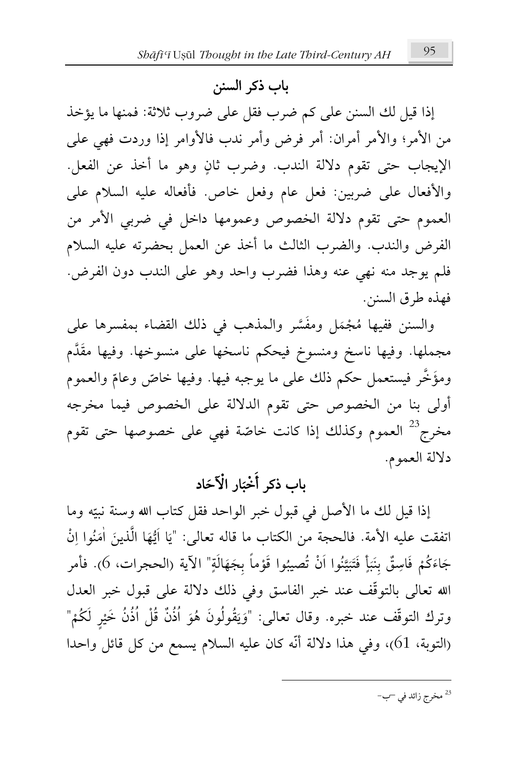## باب ذکر السنن

إذا قيل لك السنن على كم ضرب فقل على ضروب ثلاثة: فمنها ما يؤخذ من الأمر؛ والأمر أمران: أمر فرض وأمر ندب فالأوامر إذا وردت فهي على الإيجاب حتى تقوم دلالة الندب. وضرب ثانٍ وهو ما أخذ عن الفعل. والأفعال على ضربين: فعل عام وفعل خاص. فأفعاله عليه السلام على العموم حتى تقوم دلالة الخصوص وعمومها داخل في ضربي الأمر من الفرض والندب. والضرب الثالث ما أخذ عن العمل بحضرته عليه السلام فلم يوجد منه نهي عنه وهذا فضرب واحد وهو على الندب دون الفرض. فهذه طرق السنن.

والسنن ففيها مُجْمَل ومفسَّر والمذهب في ذلك القضاء بمفسرها على ƪ **´** ا<br>ا مجملها. وفيها ناسخ ومنسوخ فيحكم ناسخها على منسوخها. وفيها مقُدَّم ومؤَخَّر فيستعمل حكم ذلك على ما يوجبه فيها. وفيها خاصٌّ وعامٌّ والعموم م **م** أولى بنا من الخصوص حتى تقوم الدلالة على الخصوص فيما مخرجه مخرج<sup>23</sup> العموم وكذلك إذا كانت خاصّة فهى على خصوصها حتى تقوم **م** دلالة العموم.

#### باب ذکر أَخْبَار الْأَحَاد َ َ

إذا قيل لك ما الأصل في قبول خبر الواحد فقل كتاب الله وسنة نبيّه وما ∶ٌ اتفقت عليه الأمة. فالحجة من الكتاب ما قاله تعالى: "يَا ايُّهَا الذينَ امَنُوا اِنْ  $\overline{\mathcal{L}}$  $\ddot{\phantom{0}}$ ا <u>:</u> **€** يا<br>: یا<br>۔ جَاءَكُمْ فَاسِقٌّ بِنَبَأٍ فَتَبَيَّنُوا اَنْ تُصيبُوا قَوْماً بِجَهَالَةٍ" الآية (الحجرات، 6). فأمر **€** ؘ<br>; **ٔ :** ƪ **∶** <u>:</u> أ ֖֪֪֪֚֚֚֚֚֝֝֝֝֝֝֝֝֝֝֟֝֝֝<del>֟</del> <u>:</u> <u>َ</u> ْ َ <u>م</u> الله تعالى بالتوقُّف عند خبر الفاسق وفي ذلك دلالة على قبول خبر العدل وترك التوقّف عند خبره. وقال تعالى: "وَيَقُولُونَ هُوَ اذْنَ قُلْ اذْنَ خَيْرٍ لْكُمْ" **ٔ** ֦֧֟֟֟֟֟֟֟֟֟֜֝֟֜<sup>֟</sup> ا َ ۵<br>ا .<br>. َ (التوبة، 61)، وفي هذا دلالة أنّه كان عليه السلام يسمع من كل قائل واحدا

<u>.</u>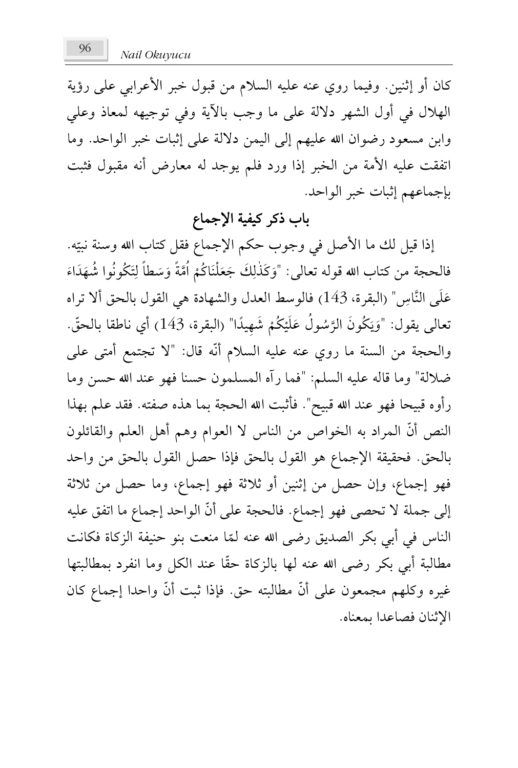كان أو إثنين. وفيما روي عنه عليه السلام من قبول خبر الأعرابي على رؤية الهلال في أول الشهر دلالة على ما وجب بالآية وفي توجيهه لمعاذ وعلى وابن مسعود رضوان الله عليهم إلى اليمن دلالة على إثبات خبر الواحد. وما اتفقت عليه الأمة من الخبر إذا ورد فلم يوجد له معارض أنه مقبول فثبت بإجماعهم إثبات خبر الواحد.

# باب ذكر كيفية الإجماع

إذا قيل لك ما الأصل في وجوب حكم الإجماع فقل كتاب الله وسنة نبيّه. **Expert** َ فالحجة من كتاب الله قوله تعالى: "وَكَذَلِكَ جَعَلْنَاكُمْ امَّةً وَسَطًا لِتَكُونُوا شُهَدَاءَ  $\overline{a}$ €<br>∶ ِ ٔ م َ  $^{\prime}$ ا ا<br>ا <u>:</u> َ .<br>. ِ َ عَلَى النَّاسِ" (البقرة، 143) فالوسط العدل والشهادة هي القول بالحق ألا تراه .<br>. َ تعالى يقول: "وَيَكُونُ الرَّسُول عَلَيْكُمْ شَهِيدًا" (البقرة، 143) أي ناطقا بالحقّ. :<br>: َ ْ ֦֧֟<u>֝</u> َ ٔ<br>ا ƪ والحجة من السنة ما روي عنه عليه السلام أنّه قال: "لا تجتمع أمتى على ضلالة" وما قاله عليه السلم: "فما رآه المسلمون حسنا فهو عند الله حسن وما رأوه قبيحا فهو عند الله قبيح". فأثبت الله الحجة بما هذه صفته. فقد علم بهذا النص أنّ الممراد به الخواص من الناس لا العوام وهم أهل العلم والقائلون بالحق. فحقيقة الإجماع هو القول بالحق فإذا حصل القول بالحق من واحد فهو إجماع، وإن حصل من إثنين أو ثلاثة فهو إجماع، وما حصل من ثلاثة إلى جملة لا تحصى فهو إجماع. فالحجة على أنّ الواحد إجماع ما اتفق عليه الناس في أبي بكر الصديق رضي الله عنه لمّا منعت بنو حنيفة الزكاة فكانت **A** مطالبة أبي بكر رضى الله عنه لها بالزكاة حقًّا عند الكل وما انفرد بمطالبتها غيره وكلهم مجمعون على أنّ مطالبته حق. فإذا ثبت أنّ واحدا إجماع كان الإثنان فصاعدا بمعناه.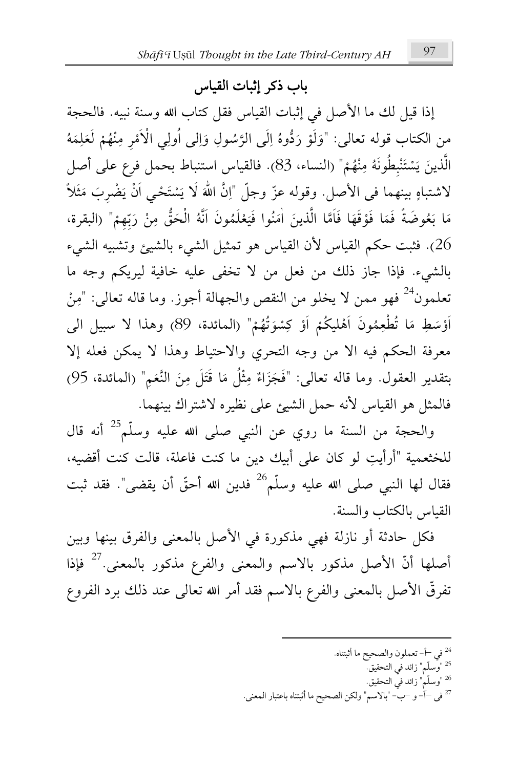### باب ذكر إثبات القياس

إذا قيل لك ما الأصل في إثبات القياس فقل كتاب الله وسنة نبيه. فالحجة من الكتاب قوله تعالى: "وَلَوْ رَدُّوهُ إِلَى الرَّسُولِ وَإِلَى أُولِي الْأَمْرِ مِنْهُمْ لَعَلِمَهُ الَّذِينَ يَسْتَنْبِطُونَهُ مِنْهُمْ" (النساء، 83). فالقياس استنباط بحمل فرع على أصل لاشتباهٍ بينهما في الأصل. وقوله عزّ وجلّ "اِنَّ اللهَ لَا يَسْتَحْى اَنْ يَضْرِبَ مَثَلاً مَا بَعُوضَةً فَمَا فَوْقَهَا فَاَمَّا الَّذينَ اٰمَنُوا فَيَعْلَمُونَ آنَّهُ الْحَقُّ مِنْ رَبِّهِمْ" (البقرة، .<br>26). فثبت حكم القياس لأن القياس هو تمثيل الشيء بالشيئ وتشبيه الشيء بالشيء. فإذا جاز ذلك من فعل من لا تخفي عليه خافية ليريكم وجه ما تعلمون<sup>24</sup> فهو ممن لا يخلو من النقص والجهالة أجوز. وما قاله تعالى: "مِنْ أَوْسَطِ مَا تُطْعِمُونَ اَهْلِيكُمْ اَوْ كِسْوَتُهُمْ" (المائدة، 89) وهذا لا سبيل الى معرفة الحكم فيه الا من وجه التحري والاحتياط وهذا لا يمكن فعله إلا بتقدير العقول. وما قاله تعالى: "فَجَزَاءٌ مِثْلُ مَا قَتَلَ مِنَ النَّعَم" (المائدة، 95) فالمثل هو القياس لأنه حمل الشبئ على نظيره لاشتراك بينهما.

والحجة من السنة ما روي عن النبي صلى الله عليه وسلَّم<sup>25</sup> أنه قال للخثعمية "أرأيتِ لو كان على أبيك دين ما كنت فاعلة، قالت كنت أقضيه، فقال لها النبي صلى الله عليه وسلّم<sup>26</sup> فدين الله أحقّ أن يقضى". فقد ثبت القياس بالكتاب والسنة.

فكل حادثة أو نازلة فهي مذكورة في الأصل بالمعنى والفرق بينها وبين أصلها أنّ الأصل مذكور بالاسم والمعنى والفرع مذكور بالمعنى.<sup>27</sup> فإذا تفرقُّ الأصل بالمعنى والفرع بالاسم فقد أمر الله تعالى عند ذلك برد الفروع

- <sup>24</sup> في −أ− تعملون والصحيح ما أثبتناه. <sup>25</sup> "وسلّم" زائد في التحقيق.
	- <sup>26</sup> "وسلّم" زائد في التحقيق.
- <sup>27</sup> في —آٰ– و —بّ– "بالاسم" ولكن الصحيح ما أثبتناه باعتبار المعنى.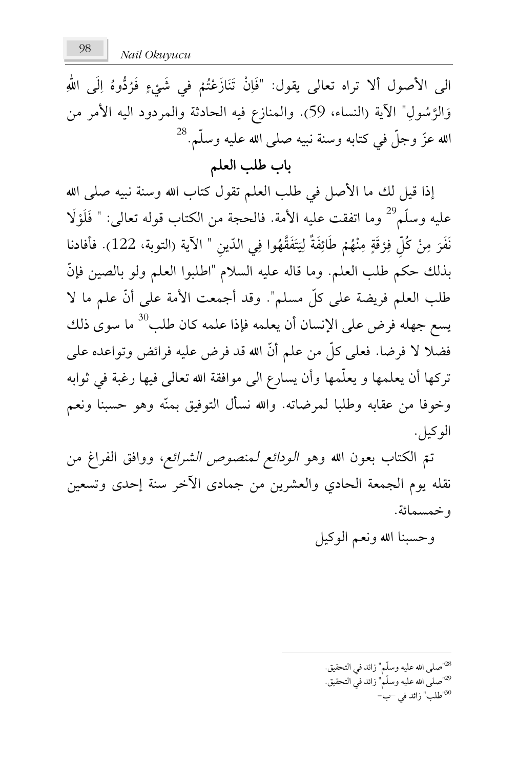Nail Okuvucu

الى الأصول ألا تراه تعالى يقول: "فَإِنْ تَنَازَعْتُمْ في شَيْءٍ فَرُدُّوهُ إِلَى اللهِ وَالرَّسُولِ" الآية (النساء، 59). والمنازع فيه الحادثة والمردود اليه الأمر من الله عزّ وجلّ في كتابه وسنة نبيه صلى الله عليه وسلّم.<sup>28</sup>

# باب طلب العلم

إذا قيل لك ما الأصل في طلب العلم تقول كتاب الله وسنة نبيه صلى الله عليه وسلّم<sup>29</sup> وما اتفقت عليه الأمة. فالحجة من الكتاب قوله تعالى: " فَلَوْلًا نَفَرَ مِنْ كُلِّ فِرْقَةٍ مِنْهُمْ طَائِفَةٌ لِيَتَفَقَّهُوا فِي الدّينِ " الآية (التوبة، 122). فأفادنا بذلك حكم طلب العلم. وما قاله عليه السلام "اطلبوا العلم ولو بالصين فإنَّ طلب العلم فريضة على كلِّ مسلم". وقد أجمعت الأمة على أنَّ علم ما لا يسع جهله فرض على الإنسان أن يعلمه فإذا علمه كان طلب<sup>30</sup> ما سوى ذلك فضلا لا فرضا. فعلى كلِّ من علم أنَّ الله قد فرض عليه فرائض وتواعده على تركها أن يعلمها و يعلّمها وأن يسارع الى موافقة الله تعالى فيها رغبة في ثوابه وخوفًا من عقابه وطلبًا لمرضاته. والله نسأل التوفيق بمنَّه وهو حسبنا ونعم الو کيل.

تمّ الكتاب بعون الله وهو *الودائع لمنصوص الشرائع*، ووافق الفراغ من نقله يوم الجمعة الحادي والعشرين من جمادى الأخر سنة إحدى وتسعين و خمسمائة.

وحسبنا الله ونعم الوكيل

<sup>28</sup>"صلى الله عليه وسلّم" زائد في التحقيق. <sup>29</sup>"صلى الله عليه وسلّم" زائد في التحقيق. <sup>30</sup>"طلب" زائد في <sup>س</sup>ب−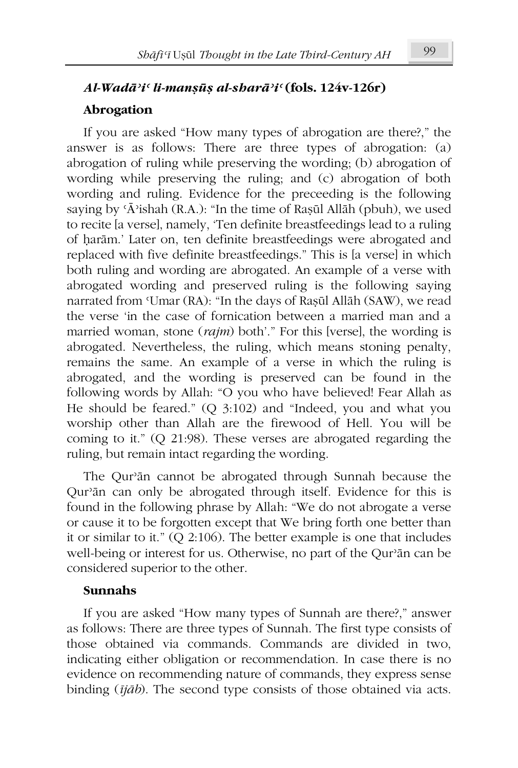# Al-Wadā'i' li-mansūs al-sharā'i' (fols. 124v-126r)

### Abrogation

If you are asked "How many types of abrogation are there?," the answer is as follows: There are three types of abrogation: (a) abrogation of ruling while preserving the wording; (b) abrogation of wording while preserving the ruling; and (c) abrogation of both wording and ruling. Evidence for the preceeding is the following saying by 'Ā'ishah (R.A.): "In the time of Rașul Allāh (pbuh), we used to recite [a verse], namely, 'Ten definite breastfeedings lead to a ruling of harām.' Later on, ten definite breastfeedings were abrogated and replaced with five definite breastfeedings." This is [a verse] in which both ruling and wording are abrogated. An example of a verse with abrogated wording and preserved ruling is the following saying narrated from 'Umar (RA): "In the days of Raşūl Allāh (SAW), we read the verse 'in the case of fornication between a married man and a married woman, stone (rajm) both'." For this [verse], the wording is abrogated. Nevertheless, the ruling, which means stoning penalty, remains the same. An example of a verse in which the ruling is abrogated, and the wording is preserved can be found in the following words by Allah: "O you who have believed! Fear Allah as He should be feared." (Q 3:102) and "Indeed, you and what you worship other than Allah are the firewood of Hell. You will be coming to it."  $(Q 21:98)$ . These verses are abrogated regarding the ruling, but remain intact regarding the wording.

The Qur'an cannot be abrogated through Sunnah because the Qur'an can only be abrogated through itself. Evidence for this is found in the following phrase by Allah: "We do not abrogate a verse or cause it to be forgotten except that We bring forth one better than it or similar to it."  $(Q 2:106)$ . The better example is one that includes well-being or interest for us. Otherwise, no part of the Qur'an can be considered superior to the other.

### **Sunnahs**

If you are asked "How many types of Sunnah are there?," answer as follows: There are three types of Sunnah. The first type consists of those obtained via commands. Commands are divided in two, indicating either obligation or recommendation. In case there is no evidence on recommending nature of commands, they express sense binding  $(ijāb)$ . The second type consists of those obtained via acts.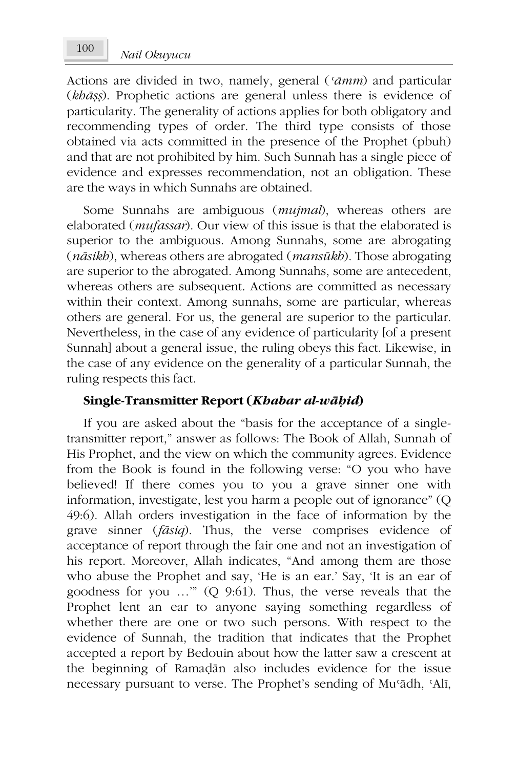Actions are divided in two, namely, general ('āmm) and particular (khāss). Prophetic actions are general unless there is evidence of particularity. The generality of actions applies for both obligatory and recommending types of order. The third type consists of those obtained via acts committed in the presence of the Prophet (pbuh) and that are not prohibited by him. Such Sunnah has a single piece of evidence and expresses recommendation, not an obligation. These are the ways in which Sunnahs are obtained.

Some Sunnahs are ambiguous (mujmal), whereas others are elaborated (*mufassar*). Our view of this issue is that the elaborated is superior to the ambiguous. Among Sunnahs, some are abrogating (nāsikb), whereas others are abrogated (mansūkb). Those abrogating are superior to the abrogated. Among Sunnahs, some are antecedent, whereas others are subsequent. Actions are committed as necessary within their context. Among sunnahs, some are particular, whereas others are general. For us, the general are superior to the particular. Nevertheless, in the case of any evidence of particularity [of a present Sunnah] about a general issue, the ruling obeys this fact. Likewise, in the case of any evidence on the generality of a particular Sunnah, the ruling respects this fact.

### Single-Transmitter Report (Khabar al-wāḥid)

If you are asked about the "basis for the acceptance of a singletransmitter report," answer as follows: The Book of Allah, Sunnah of His Prophet, and the view on which the community agrees. Evidence from the Book is found in the following verse: "O you who have believed! If there comes you to you a grave sinner one with information, investigate, lest you harm a people out of ignorance" (Q 49:6). Allah orders investigation in the face of information by the grave sinner (fāsiq). Thus, the verse comprises evidence of acceptance of report through the fair one and not an investigation of his report. Moreover, Allah indicates, "And among them are those who abuse the Prophet and say, 'He is an ear.' Say, 'It is an ear of goodness for you ..."  $(Q\ 9.61)$ . Thus, the verse reveals that the Prophet lent an ear to anyone saying something regardless of whether there are one or two such persons. With respect to the evidence of Sunnah, the tradition that indicates that the Prophet accepted a report by Bedouin about how the latter saw a crescent at the beginning of Ramadan also includes evidence for the issue necessary pursuant to verse. The Prophet's sending of Mu'ādh, 'Alī,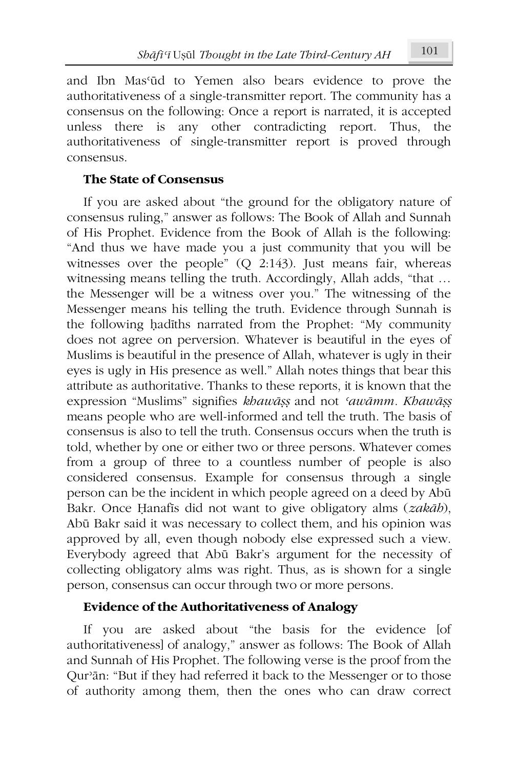and Ibn Mas'ūd to Yemen also bears evidence to prove the authoritativeness of a single-transmitter report. The community has a consensus on the following: Once a report is narrated, it is accepted unless there is any other contradicting report. Thus. the authoritativeness of single-transmitter report is proved through consensus.

### **The State of Consensus**

If you are asked about "the ground for the obligatory nature of consensus ruling," answer as follows: The Book of Allah and Sunnah of His Prophet. Evidence from the Book of Allah is the following: "And thus we have made you a just community that you will be witnesses over the people"  $(Q \ 2:143)$ . Just means fair, whereas witnessing means telling the truth. Accordingly, Allah adds, "that ... the Messenger will be a witness over you." The witnessing of the Messenger means his telling the truth. Evidence through Sunnah is the following hadiths narrated from the Prophet: "My community does not agree on perversion. Whatever is beautiful in the eyes of Muslims is beautiful in the presence of Allah, whatever is ugly in their eyes is ugly in His presence as well." Allah notes things that bear this attribute as authoritative. Thanks to these reports, it is known that the expression "Muslims" signifies khawāṣṣ and not 'awāmm. Khawāṣṣ means people who are well-informed and tell the truth. The basis of consensus is also to tell the truth. Consensus occurs when the truth is told, whether by one or either two or three persons. Whatever comes from a group of three to a countless number of people is also considered consensus. Example for consensus through a single person can be the incident in which people agreed on a deed by Abū Bakr. Once Hanafis did not want to give obligatory alms (zakāb), Abū Bakr said it was necessary to collect them, and his opinion was approved by all, even though nobody else expressed such a view. Everybody agreed that Abū Bakr's argument for the necessity of collecting obligatory alms was right. Thus, as is shown for a single person, consensus can occur through two or more persons.

### **Evidence of the Authoritativeness of Analogy**

If you are asked about "the basis for the evidence [of authoritativeness] of analogy," answer as follows: The Book of Allah and Sunnah of His Prophet. The following verse is the proof from the Qur'an: "But if they had referred it back to the Messenger or to those of authority among them, then the ones who can draw correct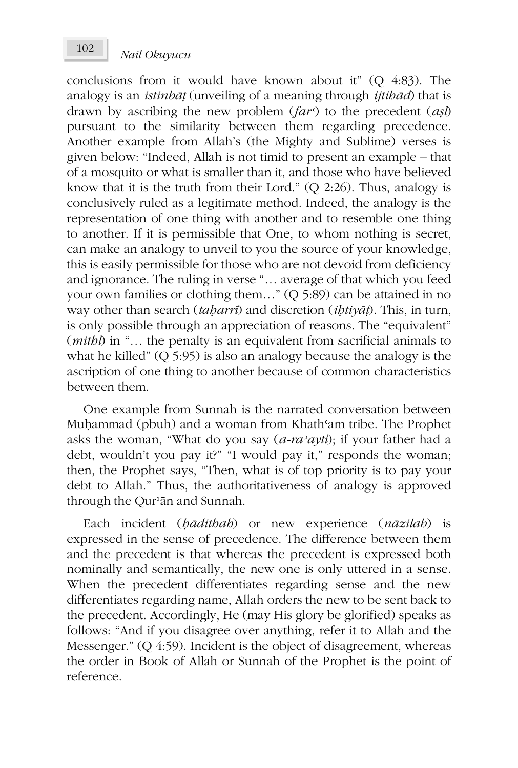conclusions from it would have known about it" (Q 4:83). The analogy is an *istinbat* (unveiling of a meaning through *itibad*) that is drawn by ascribing the new problem  $(far^3)$  to the precedent  $(ash)$ pursuant to the similarity between them regarding precedence. Another example from Allah's (the Mighty and Sublime) verses is given below: "Indeed, Allah is not timid to present an example – that of a mosquito or what is smaller than it, and those who have believed know that it is the truth from their Lord." (Q 2:26). Thus, analogy is conclusively ruled as a legitimate method. Indeed, the analogy is the representation of one thing with another and to resemble one thing to another. If it is permissible that One, to whom nothing is secret, can make an analogy to unveil to you the source of your knowledge, this is easily permissible for those who are not devoid from deficiency and ignorance. The ruling in verse "... average of that which you feed your own families or clothing them..." (Q 5:89) can be attained in no way other than search (taharri) and discretion (ihtiyat). This, in turn, is only possible through an appreciation of reasons. The "equivalent" (*mithl*) in "... the penalty is an equivalent from sacrificial animals to what he killed"  $(Q\ 5.95)$  is also an analogy because the analogy is the ascription of one thing to another because of common characteristics between them.

One example from Sunnah is the narrated conversation between Muhammad (pbuh) and a woman from Khath'am tribe. The Prophet asks the woman, "What do you say  $(a-ra^{\prime}ayti)$ ; if your father had a debt, wouldn't you pay it?" "I would pay it," responds the woman; then, the Prophet says, "Then, what is of top priority is to pay your debt to Allah." Thus, the authoritativeness of analogy is approved through the Our'ān and Sunnah.

Each incident (bādithab) or new experience (nāzilab) is expressed in the sense of precedence. The difference between them and the precedent is that whereas the precedent is expressed both nominally and semantically, the new one is only uttered in a sense. When the precedent differentiates regarding sense and the new differentiates regarding name, Allah orders the new to be sent back to the precedent. Accordingly, He (may His glory be glorified) speaks as follows: "And if you disagree over anything, refer it to Allah and the Messenger."  $(Q 4.59)$ . Incident is the object of disagreement, whereas the order in Book of Allah or Sunnah of the Prophet is the point of reference.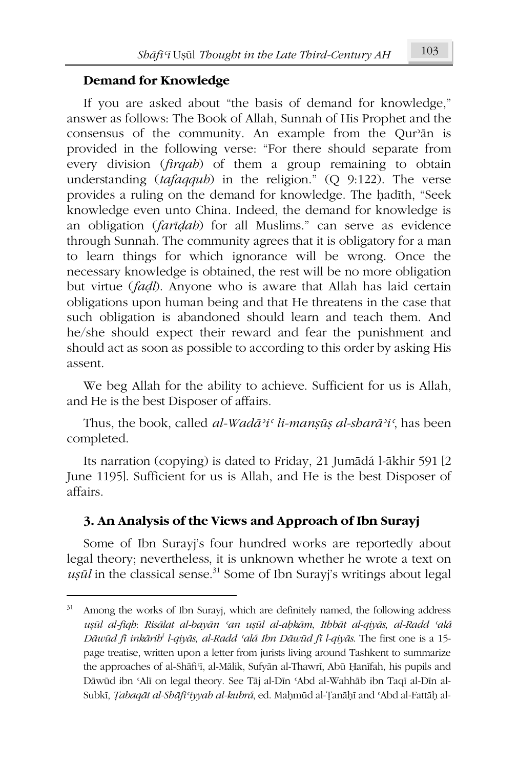### **Demand for Knowledge**

If you are asked about "the basis of demand for knowledge," answer as follows: The Book of Allah, Sunnah of His Prophet and the consensus of the community. An example from the Qur'an is provided in the following verse: "For there should separate from every division (*firgab*) of them a group remaining to obtain understanding (tafaqqub) in the religion."  $(Q\ 9:122)$ . The verse provides a ruling on the demand for knowledge. The hadith, "Seek knowledge even unto China. Indeed, the demand for knowledge is an obligation (faridab) for all Muslims." can serve as evidence through Sunnah. The community agrees that it is obligatory for a man to learn things for which ignorance will be wrong. Once the necessary knowledge is obtained, the rest will be no more obligation but virtue (fadl). Anyone who is aware that Allah has laid certain obligations upon human being and that He threatens in the case that such obligation is abandoned should learn and teach them. And he/she should expect their reward and fear the punishment and should act as soon as possible to according to this order by asking His assent.

We beg Allah for the ability to achieve. Sufficient for us is Allah, and He is the best Disposer of affairs.

Thus, the book, called al-Wadā'i' li-mansūs al-sharā'i', has been completed.

Its narration (copying) is dated to Friday, 21 Jumādá l-ākhir 591 [2] June 1195]. Sufficient for us is Allah, and He is the best Disposer of affairs.

### 3. An Analysis of the Views and Approach of Ibn Surayj

Some of Ibn Surayi's four hundred works are reportedly about legal theory; nevertheless, it is unknown whether he wrote a text on  $u$ sūl in the classical sense.<sup>31</sup> Some of Ibn Surayj's writings about legal

 $31$ Among the works of Ibn Surayj, which are definitely named, the following address uşūl al-fiqh: Risālat al-bayān 'an uşūl al-abkām, Ithbāt al-qiyās, al-Radd 'alá Dāwūd fi inkārib l-qiyās, al-Radd 'alá Ibn Dāwūd fi l-qiyās. The first one is a 15page treatise, written upon a letter from jurists living around Tashkent to summarize the approaches of al-Shāfi'i, al-Mālik, Sufyān al-Thawrī, Abū Ḥanīfah, his pupils and Dāwūd ibn 'Alī on legal theory. See Tāj al-Dīn 'Abd al-Wahhāb ibn Taqī al-Dīn al-Subkī, *Tabaqāt al-Shāfi'iyyah al-kubrá*, ed. Mahmūd al-Țanāhī and 'Abd al-Fattāh al-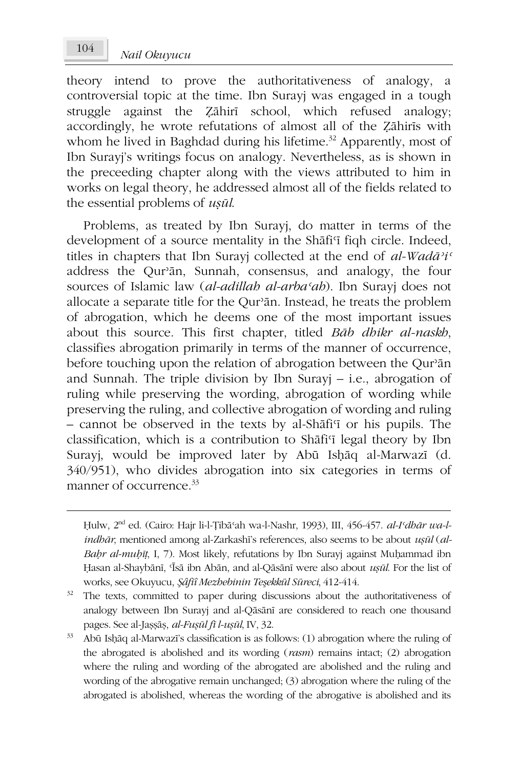Nail Okuvucu

theory intend to prove the authoritativeness of analogy, a controversial topic at the time. Ibn Surayi was engaged in a tough struggle against the Zāhirī school, which refused analogy; accordingly, he wrote refutations of almost all of the Zahiris with whom he lived in Baghdad during his lifetime.<sup>32</sup> Apparently, most of Ibn Surayi's writings focus on analogy. Nevertheless, as is shown in the preceeding chapter along with the views attributed to him in works on legal theory, he addressed almost all of the fields related to the essential problems of *usūl*.

Problems, as treated by Ibn Surayj, do matter in terms of the development of a source mentality in the Shafi'i figh circle. Indeed, titles in chapters that Ibn Surayj collected at the end of al-Wadā'i' address the Our'ān, Sunnah, consensus, and analogy, the four sources of Islamic law (al-adillab al-arba'ab). Ibn Surayj does not allocate a separate title for the Qur'an. Instead, he treats the problem of abrogation, which he deems one of the most important issues about this source. This first chapter, titled Bab dhikr al-naskh, classifies abrogation primarily in terms of the manner of occurrence, before touching upon the relation of abrogation between the Qur'an and Sunnah. The triple division by Ibn Surayj  $-$  i.e., abrogation of ruling while preserving the wording, abrogation of wording while preserving the ruling, and collective abrogation of wording and ruling - cannot be observed in the texts by al-Shafi'i or his pupils. The classification, which is a contribution to Shafi<sup>q</sup> legal theory by Ibn Surayi, would be improved later by Abū Ishāq al-Marwazī (d. 340/951), who divides abrogation into six categories in terms of manner of occurrence.<sup>33</sup>

104

Hulw, 2<sup>nd</sup> ed. (Cairo: Hajr li-l-Tibā'ah wa-l-Nashr, 1993), III, 456-457. al-I'dhār wa-l*indbār*, mentioned among al-Zarkashī's references, also seems to be about *usūl* (al-Bahr al-muhīt, I, 7). Most likely, refutations by Ibn Surayj against Muhammad ibn Hasan al-Shaybānī, 'Īsā ibn Abān, and al-Qāsānī were also about usūl. For the list of works, see Okuyucu, *Şâfiî Mezhebinin Teşekkül Süreci*, 412-414.

 $32 -$ The texts, committed to paper during discussions about the authoritativeness of analogy between Ibn Surayj and al-Qāsānī are considered to reach one thousand pages. See al-Jașșāș, al-Fușūl fi l-ușūl, IV, 32.

<sup>33</sup> Abū Ishāq al-Marwazī's classification is as follows: (1) abrogation where the ruling of the abrogated is abolished and its wording  $(rasm)$  remains intact; (2) abrogation where the ruling and wording of the abrogated are abolished and the ruling and wording of the abrogative remain unchanged; (3) abrogation where the ruling of the abrogated is abolished, whereas the wording of the abrogative is abolished and its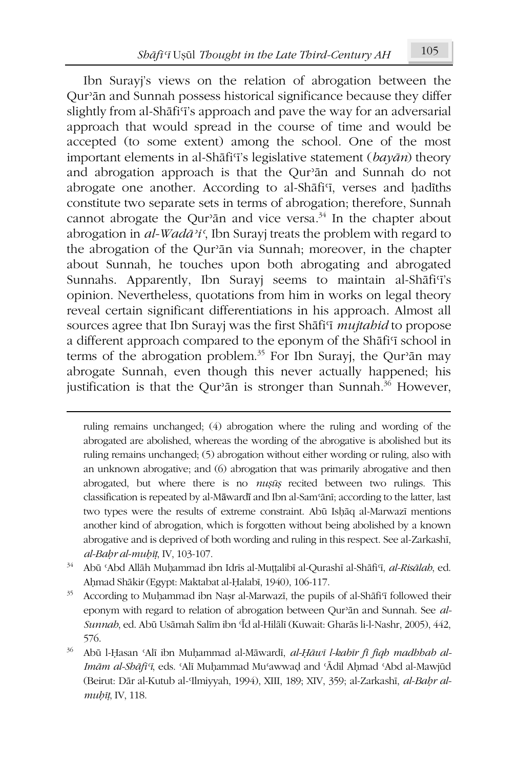Ibn Surayi's views on the relation of abrogation between the Qur'an and Sunnah possess historical significance because they differ slightly from al-Shafi'i's approach and pave the way for an adversarial approach that would spread in the course of time and would be accepted (to some extent) among the school. One of the most important elements in al-Shāfi<sup> $\tau$ </sup>'s legislative statement ( $bay\bar{a}n$ ) theory and abrogation approach is that the Qur'an and Sunnah do not abrogate one another. According to al-Shafi'i, verses and hadiths constitute two separate sets in terms of abrogation; therefore, Sunnah cannot abrogate the Our'ān and vice versa.<sup>34</sup> In the chapter about abrogation in  $al$ -Wadā<sup>3</sup>i', Ibn Surayj treats the problem with regard to the abrogation of the Qur'an via Sunnah; moreover, in the chapter about Sunnah, he touches upon both abrogating and abrogated Sunnahs. Apparently, Ibn Surayj seems to maintain al-Shāfi'i's opinion. Nevertheless, quotations from him in works on legal theory reveal certain significant differentiations in his approach. Almost all sources agree that Ibn Surayi was the first Shafi'i mujtabid to propose a different approach compared to the eponym of the Shafi'i school in terms of the abrogation problem.<sup>35</sup> For Ibn Surayi, the Qur'an may abrogate Sunnah, even though this never actually happened; his justification is that the Qur'an is stronger than Sunnah.<sup>36</sup> However,

- $34<sup>°</sup>$ Abū 'Abd Allāh Muhammad ibn Idrīs al-Muttalibī al-Qurashī al-Shāfi'ī, al-Risālah, ed. Aḥmad Shākir (Egypt: Maktabat al-Ḥalabī, 1940), 106-117.
- 35 According to Muhammad ibn Nasr al-Marwazi, the pupils of al-Shafi'i followed their eponym with regard to relation of abrogation between Qur'an and Sunnah. See al-Sunnab, ed. Abū Usāmah Salīm ibn 'Īd al-Hilālī (Kuwait: Gharās li-l-Nashr, 2005), 442, 576.
- 36 Abū l-Ḥasan 'Alī ibn Muḥammad al-Māwardī, al-Ḥāwī l-kabīr fī fiqh madhhab al-Imām al-Shāfi'ī, eds. 'Alī Muḥammad Mu'awwad and 'Ādil Aḥmad 'Abd al-Mawjūd (Beirut: Dār al-Kutub al-Ilmiyyah, 1994), XIII, 189; XIV, 359; al-Zarkashī, al-Bahr almuhīț, IV, 118.

ruling remains unchanged; (4) abrogation where the ruling and wording of the abrogated are abolished, whereas the wording of the abrogative is abolished but its ruling remains unchanged; (5) abrogation without either wording or ruling, also with an unknown abrogative; and (6) abrogation that was primarily abrogative and then abrogated, but where there is no mușuș recited between two rulings. This classification is repeated by al-Māwardī and Ibn al-Sam'ānī; according to the latter, last two types were the results of extreme constraint. Abū Ishāq al-Marwazī mentions another kind of abrogation, which is forgotten without being abolished by a known abrogative and is deprived of both wording and ruling in this respect. See al-Zarkashi, al-Bahr al-muhīt, IV, 103-107.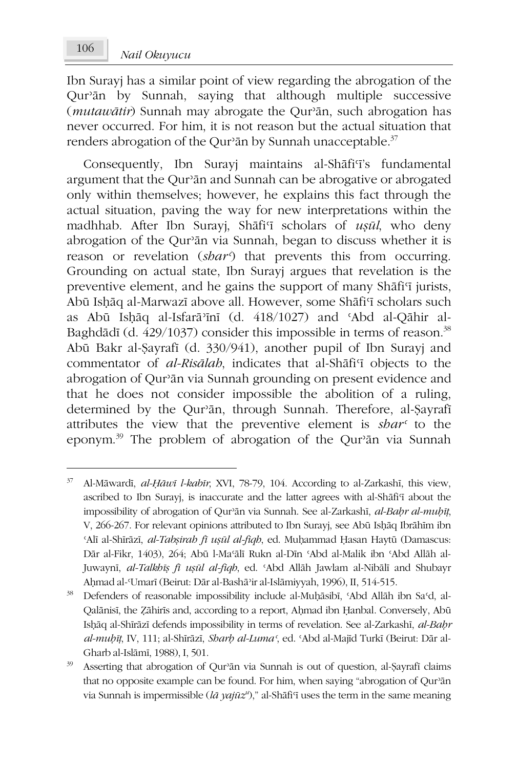Ibn Surayi has a similar point of view regarding the abrogation of the Qur'an by Sunnah, saying that although multiple successive (*mutawātir*) Sunnah may abrogate the Qur'ān, such abrogation has never occurred. For him, it is not reason but the actual situation that renders abrogation of the Qur'an by Sunnah unacceptable.<sup>37</sup>

Consequently, Ibn Surayi maintains al-Shafiff's fundamental argument that the Qur'an and Sunnah can be abrogative or abrogated only within themselves; however, he explains this fact through the actual situation, paving the way for new interpretations within the madhhab. After Ibn Surayi, Shafi'i scholars of usul, who deny abrogation of the Qur'an via Sunnah, began to discuss whether it is reason or revelation (share) that prevents this from occurring. Grounding on actual state. Ibn Surayi argues that revelation is the preventive element, and he gains the support of many Shāfi'i jurists, Abū Ishāq al-Marwazī above all. However, some Shāfi'ī scholars such as Abū Ishāq al-Isfarā'inī (d. 418/1027) and 'Abd al-Qāhir al-Baghdādī (d. 429/1037) consider this impossible in terms of reason.<sup>38</sup> Abū Bakr al-Sayrafī (d. 330/941), another pupil of Ibn Surayj and commentator of *al-Risālab*, indicates that al-Shāfi<sup>c</sup>i objects to the abrogation of Qur'ān via Sunnah grounding on present evidence and that he does not consider impossible the abolition of a ruling, determined by the Qur'an, through Sunnah. Therefore, al-Şayrafi attributes the view that the preventive element is shar<sup>c</sup> to the eponym.<sup>39</sup> The problem of abrogation of the Qur'an via Sunnah

<sup>37</sup> Al-Māwardī, al-Ḥāwī l-kabīr, XVI, 78-79, 104. According to al-Zarkashī, this view, ascribed to Ibn Surayj, is inaccurate and the latter agrees with al-Shafi'i about the impossibility of abrogation of Qur'ān via Sunnah. See al-Zarkashī, al-Bahr al-muhīț, V, 266-267. For relevant opinions attributed to Ibn Surayj, see Abū Ishāq Ibrāhīm ibn 'Alī al-Shīrāzī, al-Tabsirah fī usūl al-figh, ed. Muhammad Hasan Haytū (Damascus: Dār al-Fikr, 1403), 264; Abū l-Masālī Rukn al-Dīn sAbd al-Malik ibn sAbd Allāh al-Juwaynī, al-Talkhīs fi usūl al-fiqh, ed. 'Abd Allāh Jawlam al-Nibālī and Shubayr Ahmad al-'Umarī (Beirut: Dār al-Bashā'ir al-Islāmiyyah, 1996), II, 514-515.

<sup>38</sup> Defenders of reasonable impossibility include al-Muhāsibī, 'Abd Allāh ibn Sa'd, al-Qalānisī, the Zāhirīs and, according to a report, Ahmad ibn Hanbal. Conversely, Abū Ishāq al-Shīrāzī defends impossibility in terms of revelation. See al-Zarkashī, al-Bahr al-mubīț, IV, 111; al-Shīrāzī, Sharb al-Luma', ed. 'Abd al-Majīd Turkī (Beirut: Dār al-Gharb al-Islāmī, 1988), I, 501.

 $39\,$ Asserting that abrogation of Qur'an via Sunnah is out of question, al-Şayrafi claims that no opposite example can be found. For him, when saying "abrogation of Qur'an via Sunnah is impermissible ( $l\bar{a}$  yajūz<sup>u</sup>)," al-Shāfi<sup>q</sup> uses the term in the same meaning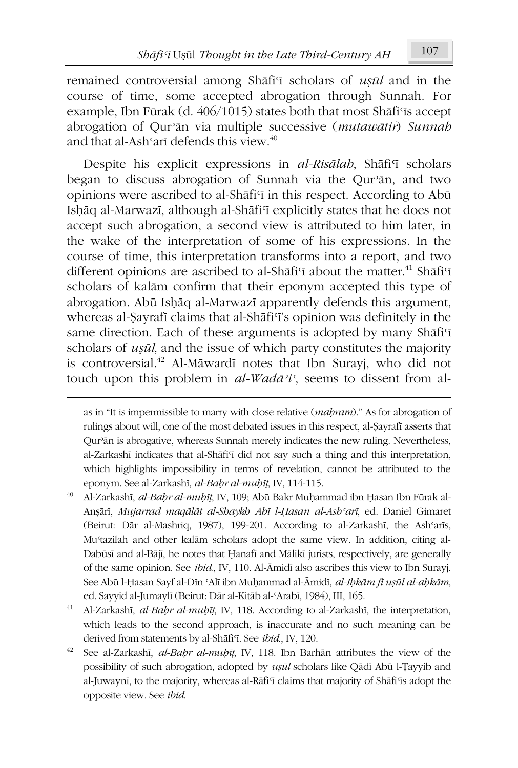remained controversial among Shafi'i scholars of usul and in the course of time, some accepted abrogation through Sunnah. For example, Ibn Fūrak (d. 406/1015) states both that most Shāfi'is accept abrogation of Qur'an via multiple successive (mutawatir) Sunnah and that al-Ash<sup>c</sup>arī defends this view.<sup>40</sup>

Despite his explicit expressions in al-Risālah, Shāfi'i scholars began to discuss abrogation of Sunnah via the Qur'ān, and two opinions were ascribed to al-Shafi'i in this respect. According to Abū Ishāq al-Marwazī, although al-Shāfi'ī explicitly states that he does not accept such abrogation, a second view is attributed to him later, in the wake of the interpretation of some of his expressions. In the course of time, this interpretation transforms into a report, and two different opinions are ascribed to al-Shafi'i about the matter.<sup>41</sup> Shafi'i scholars of kalām confirm that their eponym accepted this type of abrogation. Abū Ishāq al-Marwazī apparently defends this argument, whereas al-Sayrafi claims that al-Shāfi'i's opinion was definitely in the same direction. Each of these arguments is adopted by many Shafi'i scholars of *usul*, and the issue of which party constitutes the majority is controversial.<sup>42</sup> Al-Māwardī notes that Ibn Surayj, who did not touch upon this problem in  $al$ -Wadā<sup>3</sup>i', seems to dissent from al-

as in "It is impermissible to marry with close relative (mahram)." As for abrogation of rulings about will, one of the most debated issues in this respect, al-Şayrafi asserts that Qur'ān is abrogative, whereas Sunnah merely indicates the new ruling. Nevertheless, al-Zarkashī indicates that al-Shāfi'i did not say such a thing and this interpretation, which highlights impossibility in terms of revelation, cannot be attributed to the eponym. See al-Zarkashī, al-Bahr al-muhīț, IV, 114-115.

<sup>40</sup> Al-Zarkashī, al-Bahr al-muḥīt, IV, 109; Abū Bakr Muḥammad ibn Ḥasan Ibn Fūrak al-Anşārī, Mujarrad maqālāt al-Shaykh Abī l-Hasan al-Ash'arī, ed. Daniel Gimaret (Beirut: Dār al-Mashriq, 1987), 199-201. According to al-Zarkashī, the Ash'arīs, Mu'tazilah and other kalām scholars adopt the same view. In addition, citing al-Dabūsī and al-Bājī, he notes that Ḥanafī and Mālikī jurists, respectively, are generally of the same opinion. See *ibid*, IV, 110. Al-Āmidī also ascribes this view to Ibn Surayj. See Abū l-Ḥasan Sayf al-Dīn 'Alī ibn Muḥammad al-Āmidī, al-Ihkām fī uṣūl al-aḥkām, ed. Sayyid al-Jumaylī (Beirut: Dār al-Kitāb al-'Arabī, 1984), III, 165.

 $41$ Al-Zarkashī, al-Bahr al-muhīt, IV, 118. According to al-Zarkashī, the interpretation, which leads to the second approach, is inaccurate and no such meaning can be derived from statements by al-Shāfi'i. See ibid, IV, 120.

 $42$ See al-Zarkashī, al-Bahr al-muḥīţ, IV, 118. Ibn Barhān attributes the view of the possibility of such abrogation, adopted by ușūl scholars like Qādī Abū l-Țayyib and al-Juwaynī, to the majority, whereas al-Rāfi<sup>q</sup> claims that majority of Shāfi<sup>q</sup>s adopt the opposite view. See ibid.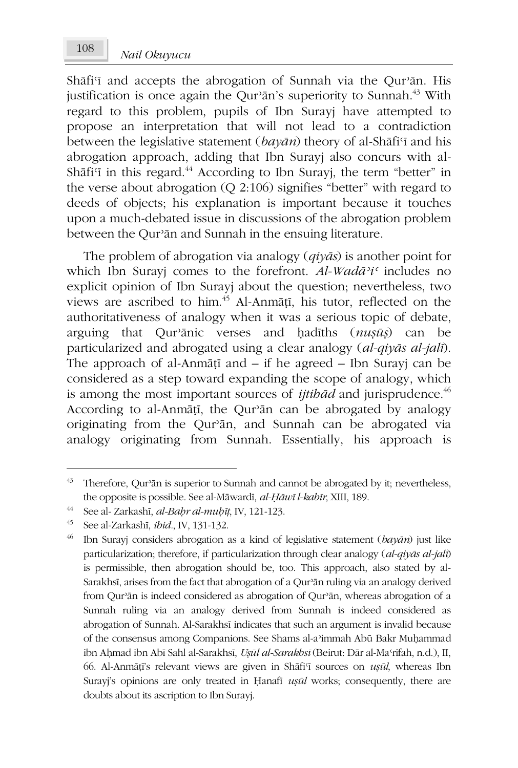Shāfi'i and accepts the abrogation of Sunnah via the Qur'an. His justification is once again the Qur'an's superiority to Sunnah.<sup>43</sup> With regard to this problem, pupils of Ibn Surayi have attempted to propose an interpretation that will not lead to a contradiction between the legislative statement  $(ba\gamma\bar{a}n)$  theory of al-Shati's and his abrogation approach, adding that Ibn Surayj also concurs with al-Shāfi'i in this regard.<sup>44</sup> According to Ibn Surayi, the term "better" in the verse about abrogation  $(O 2:106)$  signifies "better" with regard to deeds of objects; his explanation is important because it touches upon a much-debated issue in discussions of the abrogation problem between the Qur'ān and Sunnah in the ensuing literature.

The problem of abrogation via analogy  $(qiy\bar{a}s)$  is another point for which Ibn Suravi comes to the forefront.  $Al-Wad\bar{a}$ <sup>2</sup>i<sup>c</sup> includes no explicit opinion of Ibn Surayj about the question; nevertheless, two views are ascribed to him.<sup>45</sup> Al-Anmāțī, his tutor, reflected on the authoritativeness of analogy when it was a serious topic of debate, arguing that Qur'anic verses and hadiths (nusus) can be particularized and abrogated using a clear analogy (al-qiyās al-jalī). The approach of al-Anmāṭī and  $-$  if he agreed  $-$  Ibn Surayj can be considered as a step toward expanding the scope of analogy, which is among the most important sources of *ijtibad* and jurisprudence.<sup>46</sup> According to al-Anmāṭī, the Qur'ān can be abrogated by analogy originating from the Qur'an, and Sunnah can be abrogated via analogy originating from Sunnah. Essentially, his approach is

<sup>&</sup>lt;sup>43</sup> Therefore, Qur'an is superior to Sunnah and cannot be abrogated by it; nevertheless, the opposite is possible. See al-Māwardī, al-Ḥāwī l-kabīr, XIII, 189.

<sup>44</sup> See al- Zarkashī, al-Baḥr al-muḥīṭ, IV, 121-123.

 $45 -$ See al-Zarkashī, ibid., IV, 131-132.

<sup>46</sup> Ibn Surayj considers abrogation as a kind of legislative statement  $(bay\bar{a}n)$  just like particularization; therefore, if particularization through clear analogy  $(al-qiy\bar{a}s$  al-jali) is permissible, then abrogation should be, too. This approach, also stated by al-Sarakhsī, arises from the fact that abrogation of a Qur'ān ruling via an analogy derived from Qur'ān is indeed considered as abrogation of Qur'ān, whereas abrogation of a Sunnah ruling via an analogy derived from Sunnah is indeed considered as abrogation of Sunnah. Al-Sarakhsī indicates that such an argument is invalid because of the consensus among Companions. See Shams al-a'immah Abū Bakr Muḥammad ibn Ahmad ibn Abī Sahl al-Sarakhsī, Uşūl al-Sarakhsī (Beirut: Dār al-Ma'rifah, n.d.), II, 66. Al-Anmāṭī's relevant views are given in Shāfi'ī sources on uṣūl, whereas Ibn Surayj's opinions are only treated in Hanafi usul works; consequently, there are doubts about its ascription to Ibn Surayj.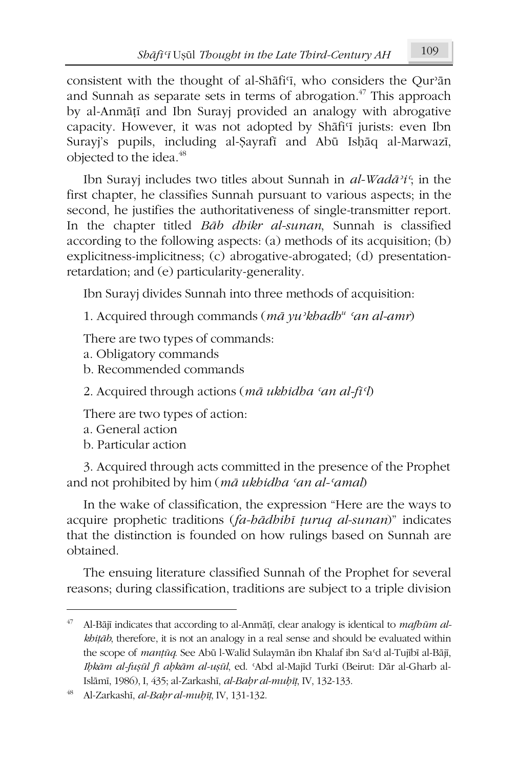consistent with the thought of al-Shafi'i, who considers the Our'an and Sunnah as separate sets in terms of abrogation.<sup>47</sup> This approach by al-Anmātī and Ibn Surayi provided an analogy with abrogative capacity. However, it was not adopted by Shāfi'i jurists: even Ibn Surayj's pupils, including al-Şayrafi and Abū Ishāq al-Marwazī, objected to the idea.<sup>48</sup>

Ibn Surayj includes two titles about Sunnah in al-Wadā'i'; in the first chapter, he classifies Sunnah pursuant to various aspects; in the second, he justifies the authoritativeness of single-transmitter report. In the chapter titled Bab dhikr al-sunan, Sunnah is classified according to the following aspects: (a) methods of its acquisition; (b) explicitness-implicitness; (c) abrogative-abrogated; (d) presentationretardation; and (e) particularity-generality.

Ibn Surayj divides Sunnah into three methods of acquisition:

1. Acquired through commands ( $m\bar{a}$  yu'khadh<sup>"</sup> 'an al-amr)

There are two types of commands:

- a. Obligatory commands
- b. Recommended commands

2. Acquired through actions ( $m\bar{a}$  ukhidha 'an al-fi'l)

There are two types of action:

- a. General action
- b. Particular action

3. Acquired through acts committed in the presence of the Prophet and not prohibited by him (mā ukbidha 'an al-'amal)

In the wake of classification, the expression "Here are the ways to acquire prophetic traditions (fa-badbibi turuq al-sunan)" indicates that the distinction is founded on how rulings based on Sunnah are obtained

The ensuing literature classified Sunnah of the Prophet for several reasons; during classification, traditions are subject to a triple division

<sup>47</sup> Al-Bājī indicates that according to al-Anmāṭī, clear analogy is identical to mafbūm alkhitāb, therefore, it is not an analogy in a real sense and should be evaluated within the scope of *mantūq*. See Abū l-Walīd Sulaymān ibn Khalaf ibn Sa'd al-Tujībī al-Bājī, Ibkām al-fușūl fi abkām al-ușūl, ed. 'Abd al-Majīd Turkī (Beirut: Dār al-Gharb al-Islāmī, 1986), I, 435; al-Zarkashī, al-Bahr al-muhīț, IV, 132-133.

Al-Zarkashī, al-Bahr al-muhīț, IV, 131-132.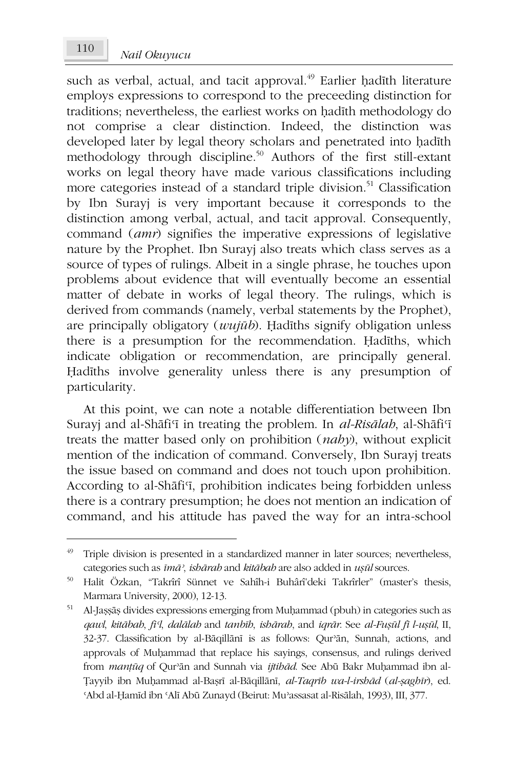such as verbal, actual, and tacit approval.<sup>49</sup> Earlier hadīth literature employs expressions to correspond to the preceeding distinction for traditions; nevertheless, the earliest works on hadith methodology do not comprise a clear distinction. Indeed, the distinction was developed later by legal theory scholars and penetrated into hadith methodology through discipline.<sup>50</sup> Authors of the first still-extant works on legal theory have made various classifications including more categories instead of a standard triple division.<sup>51</sup> Classification by Ibn Surayj is very important because it corresponds to the distinction among verbal, actual, and tacit approval. Consequently, command (amr) signifies the imperative expressions of legislative nature by the Prophet. Ibn Surayi also treats which class serves as a source of types of rulings. Albeit in a single phrase, he touches upon problems about evidence that will eventually become an essential matter of debate in works of legal theory. The rulings, which is derived from commands (namely, verbal statements by the Prophet), are principally obligatory  $(wuji\bar{u}b)$ . Hadiths signify obligation unless there is a presumption for the recommendation. Hadiths, which indicate obligation or recommendation, are principally general. Hadiths involve generality unless there is any presumption of particularity.

At this point, we can note a notable differentiation between Ibn Surayj and al-Shāfi'i in treating the problem. In al-Risālah, al-Shāfi'i treats the matter based only on prohibition (naby), without explicit mention of the indication of command. Conversely, Ibn Surayi treats the issue based on command and does not touch upon prohibition. According to al-Shafi'i, prohibition indicates being forbidden unless there is a contrary presumption; he does not mention an indication of command, and his attitude has paved the way for an intra-school

<sup>49</sup> Triple division is presented in a standardized manner in later sources; nevertheless, categories such as  $im\bar{a}$ , isbārab and kitābab are also added in usūl sources.

<sup>50</sup> Halit Özkan, "Takrîrî Sünnet ve Sahîh-i Buhârî'deki Takrîrler" (master's thesis, Marmara University, 2000), 12-13.

<sup>51</sup> Al-Jașșāș divides expressions emerging from Muḥammad (pbuh) in categories such as qawl, kitābah, fi !, dalālah and tanbīh, ishārah, and iqrār. See al-Fușūl fī l-ușūl, II, 32-37. Classification by al-Bāqillānī is as follows: Qur'ān, Sunnah, actions, and approvals of Muhammad that replace his sayings, consensus, and rulings derived from manțūq of Qur'an and Sunnah via ijtibād. See Abū Bakr Muhammad ibn al-Tayyib ibn Muhammad al-Başrī al-Bāqillānī, al-Taqrīb wa-l-irshād (al-șaghīr), ed. 'Abd al-Hamīd ibn 'Alī Abū Zunayd (Beirut: Mu'assasat al-Risālah, 1993), III, 377.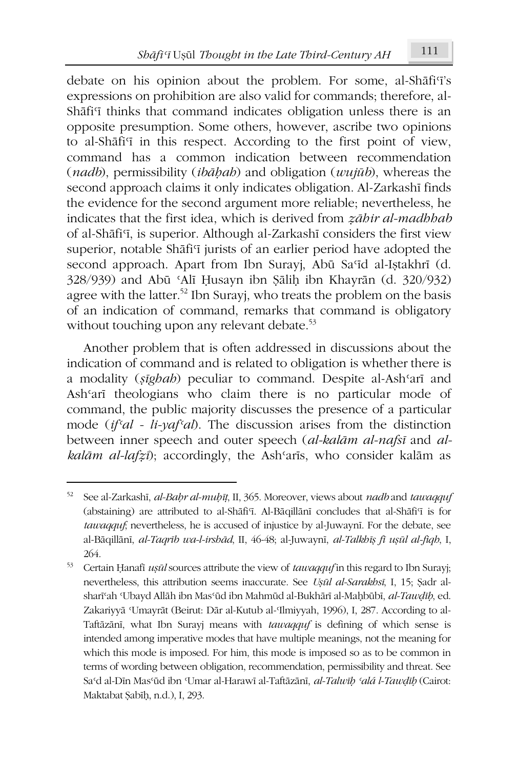debate on his opinion about the problem. For some, al-Shafi'i's expressions on prohibition are also valid for commands; therefore, al-Shafi<sup>q</sup> thinks that command indicates obligation unless there is an opposite presumption. Some others, however, ascribe two opinions to al-Shafi'i in this respect. According to the first point of view, command has a common indication between recommendation (*nadb*), permissibility (*ibābab*) and obligation (*wujūb*), whereas the second approach claims it only indicates obligation. Al-Zarkashī finds the evidence for the second argument more reliable; nevertheless, he indicates that the first idea, which is derived from zābir al-madbbab of al-Shāfi'i, is superior. Although al-Zarkashī considers the first view superior, notable Shafi<sup>c</sup>i jurists of an earlier period have adopted the second approach. Apart from Ibn Suravi, Abū Sa'īd al-Istakhrī (d. 328/939) and Abū 'Alī Husayn ibn Şālih ibn Khayrān (d. 320/932) agree with the latter.<sup>52</sup> Ibn Surayi, who treats the problem on the basis of an indication of command, remarks that command is obligatory without touching upon any relevant debate.<sup>53</sup>

Another problem that is often addressed in discussions about the indication of command and is related to obligation is whether there is a modality (sighah) peculiar to command. Despite al-Ash'arī and Ash'arī theologians who claim there is no particular mode of command, the public majority discusses the presence of a particular mode  $(if<sup>c</sup>al - li<sub>l</sub>·val<sup>c</sup>al)$ . The discussion arises from the distinction between inner speech and outer speech (al-kalām al-nafsī and alkalām al-lafzī); accordingly, the Ash'arīs, who consider kalām as

See al-Zarkashī, al-Bahr al-muhīț, II, 365. Moreover, views about nadb and tawaqquf (abstaining) are attributed to al-Shafi'i. Al-Baqillani concludes that al-Shafi'i is for tawaqquf, nevertheless, he is accused of injustice by al-Juwaynī. For the debate, see al-Bāgillānī, al-Tagrīb wa-l-irshād, II, 46-48; al-Juwaynī, al-Talkhīs fī usūl al-figh, I, 264.

<sup>53</sup> Certain Hanafi usul sources attribute the view of tawagquf in this regard to Ibn Surayj; nevertheless, this attribution seems inaccurate. See Ușul al-Sarakhsi, I, 15; Șadr alshari'ah 'Ubayd Allāh ibn Mas'ūd ibn Mahmūd al-Bukhārī al-Maḥbūbī, al-Tawdīb, ed. Zakariyyā Umayrāt (Beirut: Dār al-Kutub al-Ilmiyyah, 1996), I, 287. According to al-Taftāzānī, what Ibn Surayj means with tawaqquf is defining of which sense is intended among imperative modes that have multiple meanings, not the meaning for which this mode is imposed. For him, this mode is imposed so as to be common in terms of wording between obligation, recommendation, permissibility and threat. See Sa'd al-Dīn Mas'ūd ibn 'Umar al-Harawī al-Taftāzānī, al-Talwīb 'alá l-Tawdīb (Cairot: Maktabat Şabīh, n.d.), I, 293.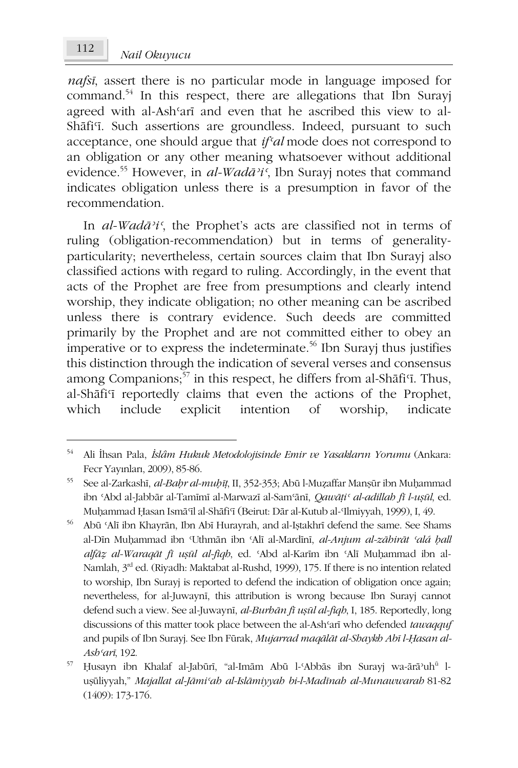*nafsi*, assert there is no particular mode in language imposed for command.<sup>54</sup> In this respect, there are allegations that Ibn Surayj agreed with al-Ash'arī and even that he ascribed this view to al-Shāfi'i. Such assertions are groundless. Indeed, pursuant to such acceptance, one should argue that  $if<sup>c</sup>al$  mode does not correspond to an obligation or any other meaning whatsoever without additional evidence.<sup>55</sup> However, in *al-Wadā'i*', Ibn Surayj notes that command indicates obligation unless there is a presumption in favor of the recommendation.

In al-Wadā'i', the Prophet's acts are classified not in terms of ruling (obligation-recommendation) but in terms of generalityparticularity; nevertheless, certain sources claim that Ibn Surayj also classified actions with regard to ruling. Accordingly, in the event that acts of the Prophet are free from presumptions and clearly intend worship, they indicate obligation; no other meaning can be ascribed unless there is contrary evidence. Such deeds are committed primarily by the Prophet and are not committed either to obey an imperative or to express the indeterminate.<sup>56</sup> Ibn Surayj thus justifies this distinction through the indication of several verses and consensus among Companions,<sup>57</sup> in this respect, he differs from al-Shafi'i. Thus, al-Shāfi'i reportedly claims that even the actions of the Prophet, which include explicit intention worship. <sub>of</sub> indicate

<sup>54</sup> Ali İhsan Pala, İslâm Hukuk Metodolojisinde Emir ve Yasakların Yorumu (Ankara: Fecr Yayınları, 2009), 85-86.

<sup>55</sup> See al-Zarkashī, al-Bahr al-muhīț, II, 352-353; Abū l-Muzaffar Manșūr ibn Muhammad ibn 'Abd al-Jabbār al-Tamīmī al-Marwazī al-Sam'ānī, Qawāți' al-adillab fī l-ușūl, ed. Muḥammad Ḥasan Ismāʿīl al-Shāfiʿī (Beirut: Dār al-Kutub al-Ilmiyyah, 1999), I, 49.

<sup>56</sup> Abū 'Alī ibn Khayrān, Ibn Abī Hurayrah, and al-Iștakhrī defend the same. See Shams al-Dīn Muhammad ibn Uthmān ibn 'Alī al-Mardīnī, al-Anjum al-zābirāt 'alá ball alfāz al-Waraqāt fī ușūl al-fiqb, ed. 'Abd al-Karīm ibn 'Alī Muhammad ibn al-Namlah, 3<sup>rd</sup> ed. (Riyadh: Maktabat al-Rushd, 1999), 175. If there is no intention related to worship, Ibn Surayj is reported to defend the indication of obligation once again; nevertheless, for al-Juwayni, this attribution is wrong because Ibn Surayj cannot defend such a view. See al-Juwayni, al-Burbān fi ușul al-fiqb, I, 185. Reportedly, long discussions of this matter took place between the al-Ash'arī who defended tawaqquf and pupils of Ibn Surayj. See Ibn Fūrak, Mujarrad maqālāt al-Shaykh Abī l-Hasan al-Ash'arī, 192.

<sup>57</sup> Husayn ibn Khalaf al-Jabūrī, "al-Imām Abū l-'Abbās ibn Surayj wa-ārā'uh<sup>ū</sup> luşüliyyah," Majallat al-Jāmi'ab al-Islāmiyyab bi-l-Madīnab al-Munawwarab 81-82  $(1409): 173-176.$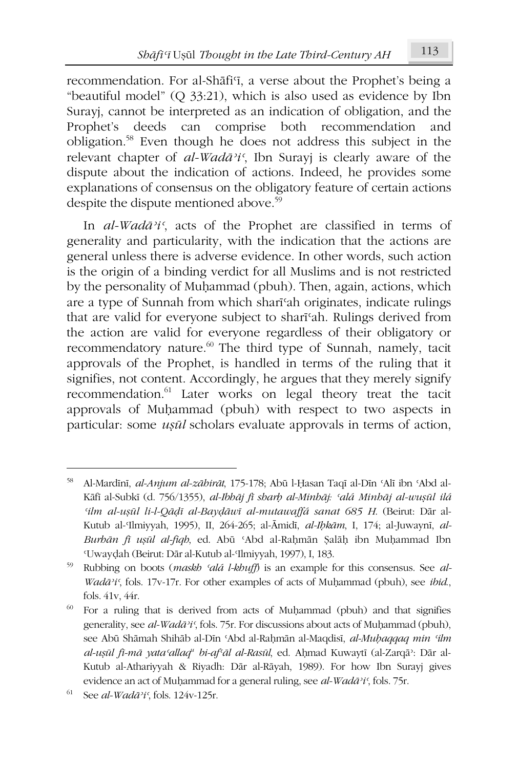recommendation. For al-Shafi<sup>T</sup>, a verse about the Prophet's being a "beautiful model"  $(Q_33:21)$ , which is also used as evidence by Ibn Surayi, cannot be interpreted as an indication of obligation, and the Prophet's deeds can comprise both recommendation and obligation.<sup>58</sup> Even though he does not address this subject in the relevant chapter of  $al$ -*Wadā*<sup>2</sup>*i*<sup>c</sup>, Ibn Surayj is clearly aware of the dispute about the indication of actions. Indeed, he provides some explanations of consensus on the obligatory feature of certain actions despite the dispute mentioned above.<sup>59</sup>

In al-Wadā'i', acts of the Prophet are classified in terms of generality and particularity, with the indication that the actions are general unless there is adverse evidence. In other words, such action is the origin of a binding verdict for all Muslims and is not restricted by the personality of Muhammad (pbuh). Then, again, actions, which are a type of Sunnah from which shari<sup>c</sup>ah originates, indicate rulings that are valid for everyone subject to sharifah. Rulings derived from the action are valid for everyone regardless of their obligatory or recommendatory nature.<sup>60</sup> The third type of Sunnah, namely, tacit approvals of the Prophet, is handled in terms of the ruling that it signifies, not content. Accordingly, he argues that they merely signify recommendation.<sup>61</sup> Later works on legal theory treat the tacit approvals of Muhammad (pbuh) with respect to two aspects in particular: some *usūl* scholars evaluate approvals in terms of action,

Al-Mardīnī, al-Anjum al-zāhirāt, 175-178; Abū l-Ḥasan Taqī al-Dīn 'Alī ibn 'Abd al-Kāfī al-Subkī (d. 756/1355), al-Ibhāj fī sharb al-Minhāj: 'alá Minhāj al-wușūl ilá 'ilm al-ușūl li-l-Qādī al-Baydāwī al-mutawaffá sanat 685 H. (Beirut: Dār al-Kutub al-Ilmiyyah, 1995), II, 264-265; al-Āmidī, al-Ibkām, I, 174; al-Juwaynī, al-Burbān fi ușūl al-fiqb, ed. Abū 'Abd al-Rahmān Șalāh ibn Muhammad Ibn 'Uwaydah (Beirut: Dār al-Kutub al-'Ilmiyyah, 1997), I, 183.

<sup>59</sup> Rubbing on boots (maskb 'alá l-kbuff) is an example for this consensus. See al-Wadā'i', fols. 17v-17r. For other examples of acts of Muḥammad (pbuh), see ibid, fols. 41v, 44r.

<sup>60</sup> For a ruling that is derived from acts of Muhammad (pbuh) and that signifies generality, see al-Wadā'i', fols. 75r. For discussions about acts of Muhammad (pbuh), see Abū Shāmah Shihāb al-Dīn 'Abd al-Raḥmān al-Maqdisī, al-Muḥaqqaq min 'ilm al-ușul fi-mā yata 'allaq' bi-af'al al-Rasul, ed. Ahmad Kuwaytī (al-Zarqā): Dār al-Kutub al-Athariyyah & Riyadh: Dār al-Rāyah, 1989). For how Ibn Surayj gives evidence an act of Muhammad for a general ruling, see al-Wadā'i', fols. 75r.

<sup>61</sup> See al-Wadā'i', fols. 124v-125r.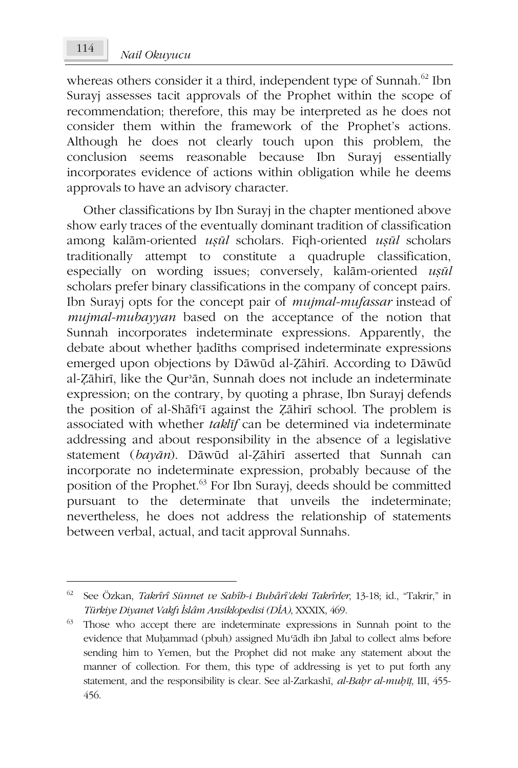whereas others consider it a third, independent type of Sunnah.<sup>62</sup> Ibn Surayj assesses tacit approvals of the Prophet within the scope of recommendation; therefore, this may be interpreted as he does not consider them within the framework of the Prophet's actions. Although he does not clearly touch upon this problem, the conclusion seems reasonable because Ibn Surayj essentially incorporates evidence of actions within obligation while he deems approvals to have an advisory character.

Other classifications by Ibn Surayj in the chapter mentioned above show early traces of the eventually dominant tradition of classification among kalām-oriented usūl scholars. Figh-oriented usūl scholars traditionally attempt to constitute a quadruple classification, especially on wording issues; conversely, kalam-oriented usul scholars prefer binary classifications in the company of concept pairs. Ibn Surayj opts for the concept pair of *mujmal-mufassar* instead of mujmal-mubayyan based on the acceptance of the notion that Sunnah incorporates indeterminate expressions. Apparently, the debate about whether hadīths comprised indeterminate expressions emerged upon objections by Dāwūd al-Zāhirī. According to Dāwūd al-Zāhirī, like the Qur'ān, Sunnah does not include an indeterminate expression; on the contrary, by quoting a phrase, Ibn Surayj defends the position of al-Shafi'i against the Zahiri school. The problem is associated with whether *taklif* can be determined via indeterminate addressing and about responsibility in the absence of a legislative statement (bayān). Dāwūd al-Zāhirī asserted that Sunnah can incorporate no indeterminate expression, probably because of the position of the Prophet.<sup>63</sup> For Ibn Surayj, deeds should be committed pursuant to the determinate that unveils the indeterminate; nevertheless, he does not address the relationship of statements between verbal, actual, and tacit approval Sunnahs.

<sup>&</sup>lt;sup>62</sup> See Özkan, Takrîrî Sünnet ve Sabîb-i Bubârî'deki Takrîrler, 13-18; id., "Takrir," in Türkiye Diyanet Vakfı İslâm Ansiklopedisi (DİA), XXXIX, 469.

<sup>&</sup>lt;sup>63</sup> Those who accept there are indeterminate expressions in Sunnah point to the evidence that Muhammad (pbuh) assigned Mu'ādh ibn Jabal to collect alms before sending him to Yemen, but the Prophet did not make any statement about the manner of collection. For them, this type of addressing is yet to put forth any statement, and the responsibility is clear. See al-Zarkashī, al-Bahr al-muhīt, III, 455-456.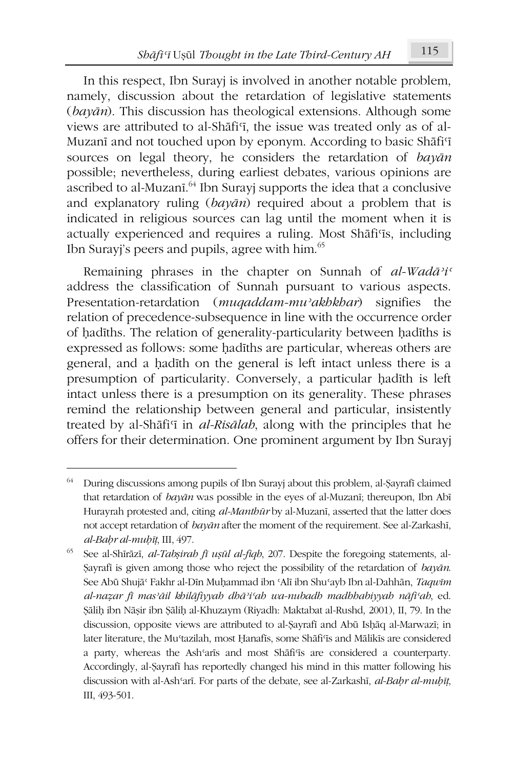In this respect, Ibn Surayi is involved in another notable problem, namely, discussion about the retardation of legislative statements  $\left($ *bayan* $\right)$ . This discussion has theological extensions. Although some views are attributed to al-Shafi'i, the issue was treated only as of al-Muzani and not touched upon by eponym. According to basic Shafi'i sources on legal theory, he considers the retardation of bayan possible; nevertheless, during earliest debates, various opinions are ascribed to al-Muzani.<sup>64</sup> Ibn Suravi supports the idea that a conclusive and explanatory ruling  $(ba\gamma\bar{a}n)$  required about a problem that is indicated in religious sources can lag until the moment when it is actually experienced and requires a ruling. Most Shafi'is, including Ibn Surayj's peers and pupils, agree with him.<sup>65</sup>

Remaining phrases in the chapter on Sunnah of  $al$ -Wadā'i' address the classification of Sunnah pursuant to various aspects. Presentation-retardation (*mugaddam-mu'akhkhar*) signifies the relation of precedence-subsequence in line with the occurrence order of hadiths. The relation of generality-particularity between hadiths is expressed as follows: some hadiths are particular, whereas others are general, and a hadith on the general is left intact unless there is a presumption of particularity. Conversely, a particular hadith is left intact unless there is a presumption on its generality. These phrases remind the relationship between general and particular, insistently treated by al-Shafi'i in *al-Risalah*, along with the principles that he offers for their determination. One prominent argument by Ibn Surayj

<sup>64</sup> During discussions among pupils of Ibn Surayj about this problem, al-Şayrafi claimed that retardation of bayan was possible in the eyes of al-Muzani; thereupon, Ibn Abi Hurayrah protested and, citing al-Manthūr by al-Muzanī, asserted that the latter does not accept retardation of bayan after the moment of the requirement. See al-Zarkashi, al-Bahr al-muhīt, III, 497.

See al-Shīrāzī, al-Tabșirah fī ușūl al-fiqh, 207. Despite the foregoing statements, al-Sayrafi is given among those who reject the possibility of the retardation of bayan. See Abū Shujā<sup>c</sup> Fakhr al-Dīn Muhammad ibn 'Alī ibn Shu'ayb Ibn al-Dahhān, Taqwīm al-nazar fi mas'āil khilāfiyyah dhā'i'ah wa-nubadh madhhabiyyah nāfi'ah, ed. Şāliḥ ibn Nāșir ibn Şāliḥ al-Khuzaym (Riyadh: Maktabat al-Rushd, 2001), II, 79. In the discussion, opposite views are attributed to al-Şayrafi and Abū Ishāq al-Marwazī; in later literature, the Mu'tazilah, most Ḥanafīs, some Shāfi'īs and Mālikīs are considered a party, whereas the Ash'aris and most Shafi'is are considered a counterparty. Accordingly, al-Şayrafi has reportedly changed his mind in this matter following his discussion with al-Ash'arī. For parts of the debate, see al-Zarkashī, al-Bahr al-muḥīț, Ш, 493-501.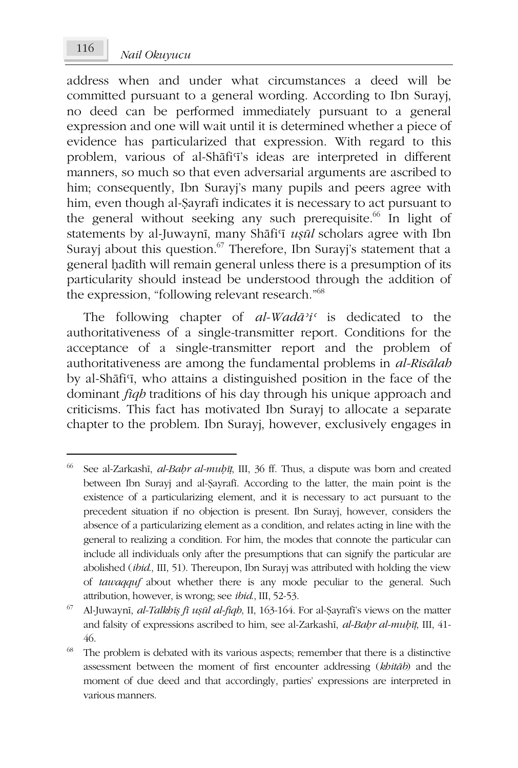address when and under what circumstances a deed will be committed pursuant to a general wording. According to Ibn Surayi, no deed can be performed immediately pursuant to a general expression and one will wait until it is determined whether a piece of evidence has particularized that expression. With regard to this problem, various of al-Shafi'i's ideas are interpreted in different manners, so much so that even adversarial arguments are ascribed to him; consequently, Ibn Surayi's many pupils and peers agree with him, even though al-Şayrafi indicates it is necessary to act pursuant to the general without seeking any such prerequisite.<sup>66</sup> In light of statements by al-Juwayni, many Shafi'i usul scholars agree with Ibn Surayj about this question.<sup>67</sup> Therefore, Ibn Surayj's statement that a general hadith will remain general unless there is a presumption of its particularity should instead be understood through the addition of the expression, "following relevant research."<sup>68</sup>

The following chapter of  $al$ -Wad $\bar{a}$ <sup>2</sup>i<sup>c</sup> is dedicated to the authoritativeness of a single-transmitter report. Conditions for the acceptance of a single-transmitter report and the problem of authoritativeness are among the fundamental problems in al-Risālah by al-Shāfi'i, who attains a distinguished position in the face of the dominant *figh* traditions of his day through his unique approach and criticisms. This fact has motivated Ibn Surayj to allocate a separate chapter to the problem. Ibn Surayj, however, exclusively engages in

116

<sup>66</sup> See al-Zarkashī, al-Bahr al-muḥīṭ, III, 36 ff. Thus, a dispute was born and created between Ibn Surayj and al-Şayrafi. According to the latter, the main point is the existence of a particularizing element, and it is necessary to act pursuant to the precedent situation if no objection is present. Ibn Surayj, however, considers the absence of a particularizing element as a condition, and relates acting in line with the general to realizing a condition. For him, the modes that connote the particular can include all individuals only after the presumptions that can signify the particular are abolished (ibid., III, 51). Thereupon, Ibn Surayj was attributed with holding the view of tawaqquf about whether there is any mode peculiar to the general. Such attribution, however, is wrong; see *ibid.*, III, 52-53.

<sup>67</sup> Al-Juwaynī, al-Talkhīs fī usūl al-fiqh, II, 163-164. For al-Şayrafi's views on the matter and falsity of expressions ascribed to him, see al-Zarkashī, al-Bahr al-muhīț, III, 41-46.

<sup>68</sup> The problem is debated with its various aspects; remember that there is a distinctive assessment between the moment of first encounter addressing (khitāb) and the moment of due deed and that accordingly, parties' expressions are interpreted in various manners.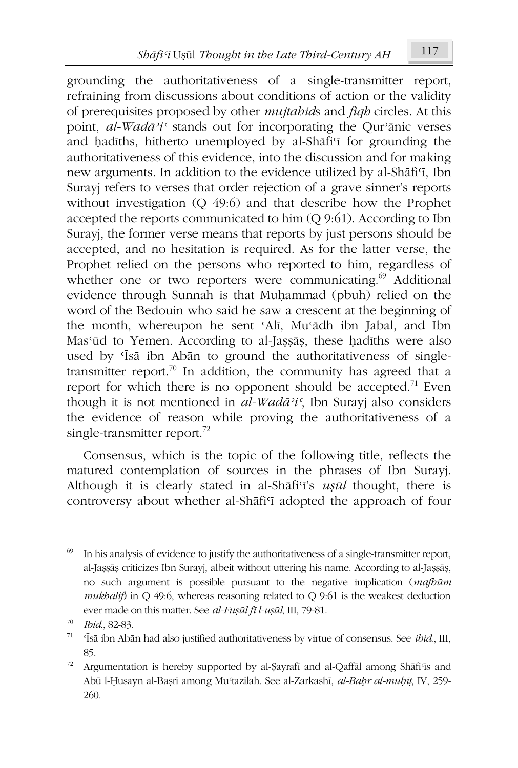grounding the authoritativeness of a single-transmitter report, refraining from discussions about conditions of action or the validity of prerequisites proposed by other *mujtabids* and *figh* circles. At this point,  $al$ -Wadā<sup> $\lambda i$ </sup> stands out for incorporating the Qur'anic verses and hadiths, hitherto unemployed by al-Shafi'i for grounding the authoritativeness of this evidence, into the discussion and for making new arguments. In addition to the evidence utilized by al-Shāfi'i, Ibn Surayi refers to verses that order rejection of a grave sinner's reports without investigation  $(Q 49.6)$  and that describe how the Prophet accepted the reports communicated to him  $(O 9:61)$ . According to Ibn Surayi, the former verse means that reports by just persons should be accepted, and no hesitation is required. As for the latter verse, the Prophet relied on the persons who reported to him, regardless of whether one or two reporters were communicating.<sup>69</sup> Additional evidence through Sunnah is that Muhammad (pbuh) relied on the word of the Bedouin who said he saw a crescent at the beginning of the month, whereupon he sent 'Ali, Mu'ādh ibn Jabal, and Ibn Mas'ūd to Yemen. According to al-Jassās, these hadīths were also used by *Isa* ibn Aban to ground the authoritativeness of singletransmitter report.<sup>70</sup> In addition, the community has agreed that a report for which there is no opponent should be accepted.<sup>71</sup> Even though it is not mentioned in  $al$ -Wadā'i', Ibn Suravi also considers the evidence of reason while proving the authoritativeness of a single-transmitter report.<sup>72</sup>

Consensus, which is the topic of the following title, reflects the matured contemplation of sources in the phrases of Ibn Surayj. Although it is clearly stated in al-Shafi'i's usul thought, there is controversy about whether al-Shafi'i adopted the approach of four

<sup>69</sup> In his analysis of evidence to justify the authoritativeness of a single-transmitter report, al-Jassās criticizes Ibn Surayi, albeit without uttering his name. According to al-Jassās, no such argument is possible pursuant to the negative implication (mafbūm mukbālif) in Q 49:6, whereas reasoning related to Q 9:61 is the weakest deduction ever made on this matter. See al-Fușul fi l-ușul, III, 79-81.

Ibid., 82-83.

<sup>71</sup> 'Īsā ibn Abān had also justified authoritativeness by virtue of consensus. See ibid., III, 85.

 $72\,$ Argumentation is hereby supported by al-Şayrafi and al-Qaffāl among Shāfi'is and Abū l-Husayn al-Bașrī among Mu'tazilah. See al-Zarkashī, al-Bahr al-muhīt, IV, 259-260.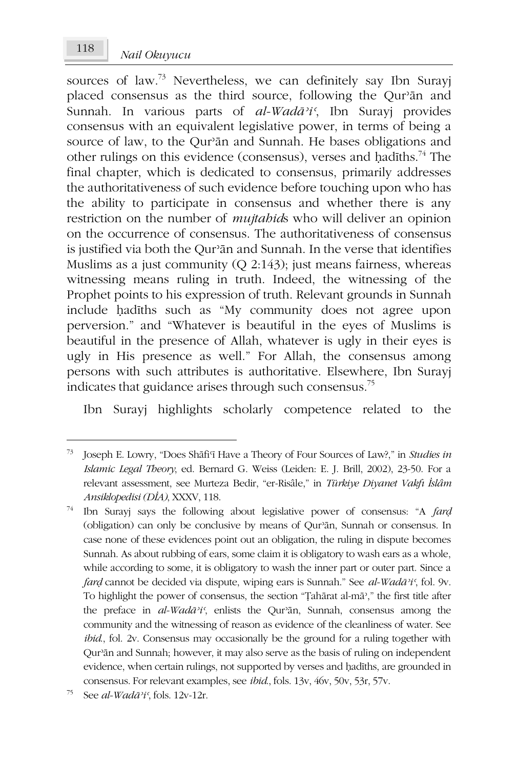sources of law.<sup>73</sup> Nevertheless, we can definitely say Ibn Surayi placed consensus as the third source, following the Qur'an and Sunnah. In various parts of  $al$ -Wad $\bar{a}$ <sup>2</sup>i', Ibn Surayj provides consensus with an equivalent legislative power, in terms of being a source of law, to the Qur'an and Sunnah. He bases obligations and other rulings on this evidence (consensus), verses and hadiths.<sup>74</sup> The final chapter, which is dedicated to consensus, primarily addresses the authoritativeness of such evidence before touching upon who has the ability to participate in consensus and whether there is any restriction on the number of *mujtabids* who will deliver an opinion on the occurrence of consensus. The authoritativeness of consensus is justified via both the Qur'an and Sunnah. In the verse that identifies Muslims as a just community ( $O$  2:143); just means fairness, whereas witnessing means ruling in truth. Indeed, the witnessing of the Prophet points to his expression of truth. Relevant grounds in Sunnah include hadiths such as "My community does not agree upon perversion." and "Whatever is beautiful in the eyes of Muslims is beautiful in the presence of Allah, whatever is ugly in their eyes is ugly in His presence as well." For Allah, the consensus among persons with such attributes is authoritative. Elsewhere, Ibn Surayi indicates that guidance arises through such consensus.<sup>75</sup>

Ibn Surayj highlights scholarly competence related to the

Joseph E. Lowry, "Does Shafi'i Have a Theory of Four Sources of Law?," in Studies in Islamic Legal Theory, ed. Bernard G. Weiss (Leiden: E. J. Brill, 2002), 23-50. For a relevant assessment, see Murteza Bedir, "er-Risâle," in Türkiye Diyanet Vakfı İslâm Ansiklopedisi (DİA), XXXV, 118.

 $74\,$ Ibn Surayj says the following about legislative power of consensus: "A fard (obligation) can only be conclusive by means of Qur'an, Sunnah or consensus. In case none of these evidences point out an obligation, the ruling in dispute becomes Sunnah. As about rubbing of ears, some claim it is obligatory to wash ears as a whole, while according to some, it is obligatory to wash the inner part or outer part. Since a fard cannot be decided via dispute, wiping ears is Sunnah." See al-Wadā'i', fol. 9v. To highlight the power of consensus, the section "Țahārat al-mā"," the first title after the preface in al-Wadā'i', enlists the Qur'an, Sunnah, consensus among the community and the witnessing of reason as evidence of the cleanliness of water. See ibid, fol. 2v. Consensus may occasionally be the ground for a ruling together with Qur'ān and Sunnah; however, it may also serve as the basis of ruling on independent evidence, when certain rulings, not supported by verses and hadiths, are grounded in consensus. For relevant examples, see *ibid.*, fols. 13v, 46v, 50v, 53r, 57v.

See al-Wadā'i', fols. 12v-12r.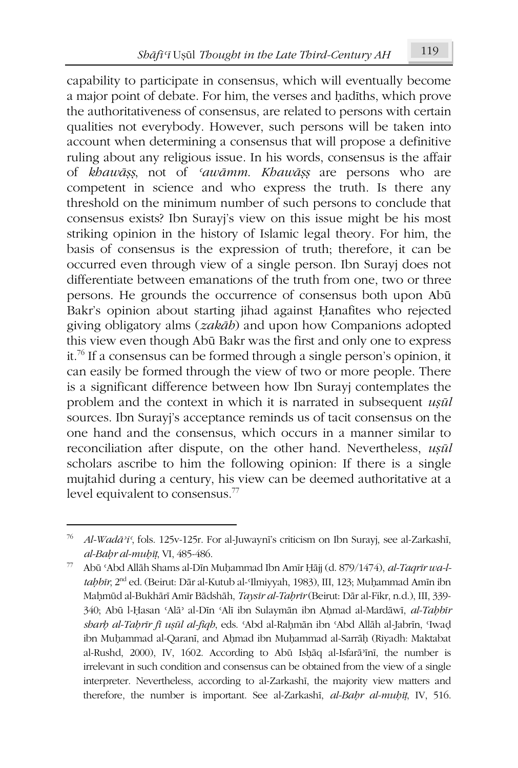capability to participate in consensus, which will eventually become

a major point of debate. For him, the verses and hadiths, which prove the authoritativeness of consensus, are related to persons with certain qualities not everybody. However, such persons will be taken into account when determining a consensus that will propose a definitive ruling about any religious issue. In his words, consensus is the affair of khawāss, not of 'awāmm. Khawāss are persons who are competent in science and who express the truth. Is there any threshold on the minimum number of such persons to conclude that consensus exists? Ibn Surayi's view on this issue might be his most striking opinion in the history of Islamic legal theory. For him, the basis of consensus is the expression of truth; therefore, it can be occurred even through view of a single person. Ibn Surayi does not differentiate between emanations of the truth from one, two or three persons. He grounds the occurrence of consensus both upon Abū Bakr's opinion about starting jihad against Hanafites who rejected giving obligatory alms (zakāb) and upon how Companions adopted this view even though Abū Bakr was the first and only one to express it.<sup>76</sup> If a consensus can be formed through a single person's opinion, it can easily be formed through the view of two or more people. There is a significant difference between how Ibn Surayj contemplates the problem and the context in which it is narrated in subsequent usul sources. Ibn Surayj's acceptance reminds us of tacit consensus on the one hand and the consensus, which occurs in a manner similar to reconciliation after dispute, on the other hand. Nevertheless, usūl scholars ascribe to him the following opinion: If there is a single mujtahid during a century, his view can be deemed authoritative at a level equivalent to consensus.<sup>77</sup>

Al-Wadā'i', fols. 125v-125r. For al-Juwaynī's criticism on Ibn Surayj, see al-Zarkashī, al-Bahr al-muhīt, VI, 485-486.

<sup>77</sup> Abū 'Abd Allāh Shams al-Dīn Muhammad Ibn Amīr Ḥājj (d. 879/1474), al-Taqrīr wa-ltabbīr, 2<sup>nd</sup> ed. (Beirut: Dār al-Kutub al-Ilmiyyah, 1983), III, 123; Muḥammad Amīn ibn Mahmūd al-Bukhārī Amīr Bādshāh, Taysīr al-Tahrīr (Beirut: Dār al-Fikr, n.d.), III, 339-340; Abū l-Ḥasan 'Alā' al-Dīn 'Alī ibn Sulaymān ibn Aḥmad al-Mardāwī, al-Tabbīr sharb al-Tabrīr fī usūl al-fiqb, eds. 'Abd al-Rahmān ibn 'Abd Allāh al-Jabrīn, 'Iwad ibn Muhammad al-Qaranī, and Ahmad ibn Muhammad al-Sarrāḥ (Riyadh: Maktabat al-Rushd, 2000), IV, 1602. According to Abū Ishāq al-Isfarā'īnī, the number is irrelevant in such condition and consensus can be obtained from the view of a single interpreter. Nevertheless, according to al-Zarkashī, the majority view matters and therefore, the number is important. See al-Zarkashī, al-Bahr al-muhīț, IV, 516.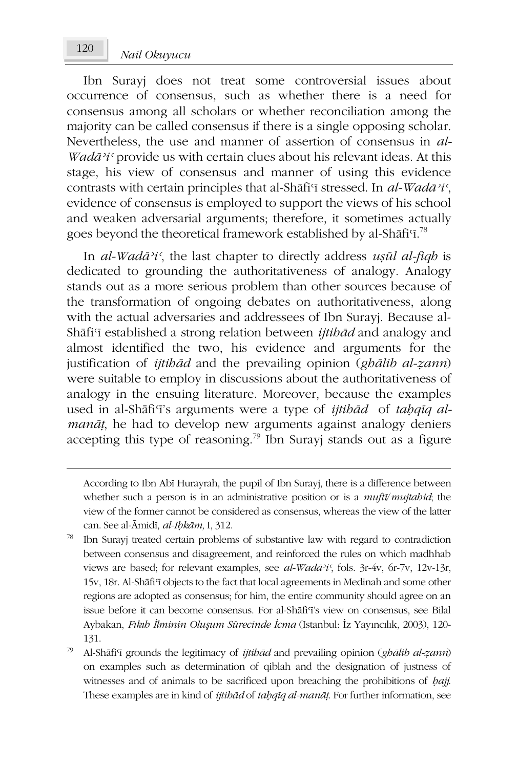Ibn Surayi does not treat some controversial issues about occurrence of consensus, such as whether there is a need for consensus among all scholars or whether reconciliation among the majority can be called consensus if there is a single opposing scholar. Nevertheless, the use and manner of assertion of consensus in al-*Wadā'i* c provide us with certain clues about his relevant ideas. At this stage, his view of consensus and manner of using this evidence contrasts with certain principles that al-Shafi'i stressed. In al-Wadā'i', evidence of consensus is employed to support the views of his school and weaken adversarial arguments; therefore, it sometimes actually goes beyond the theoretical framework established by al-Shāfi'i.<sup>78</sup>

In al-Wadā'i', the last chapter to directly address usul al-figh is dedicated to grounding the authoritativeness of analogy. Analogy stands out as a more serious problem than other sources because of the transformation of ongoing debates on authoritativeness, along with the actual adversaries and addressees of Ibn Surayj. Because al-Shāfi'i established a strong relation between *ijtibād* and analogy and almost identified the two, his evidence and arguments for the justification of *ijtibad* and the prevailing opinion (gbalib al-zann) were suitable to employ in discussions about the authoritativeness of analogy in the ensuing literature. Moreover, because the examples used in al-Shāfi'i's arguments were a type of *ijtibād* of tabaiq al*manāt*, he had to develop new arguments against analogy deniers accepting this type of reasoning.<sup>79</sup> Ibn Surayj stands out as a figure

According to Ibn Abī Hurayrah, the pupil of Ibn Surayj, there is a difference between whether such a person is in an administrative position or is a *mufti/mujtabid*; the view of the former cannot be considered as consensus, whereas the view of the latter can. See al-Āmidī, al-Ibkām, I, 312.

Ibn Surayj treated certain problems of substantive law with regard to contradiction between consensus and disagreement, and reinforced the rules on which madhhab views are based; for relevant examples, see al-Wada<sup>3</sup>i', fols. 3r-4v, 6r-7v, 12v-13r, 15v, 18r. Al-Shāfi'i objects to the fact that local agreements in Medinah and some other regions are adopted as consensus; for him, the entire community should agree on an issue before it can become consensus. For al-Shafi<sup>T</sup>'s view on consensus, see Bilal Aybakan, Fikih İlminin Oluşum Sürecinde İcma (Istanbul: İz Yayıncılık, 2003), 120-131.

<sup>79</sup> Al-Shāfi'i grounds the legitimacy of *ijtibad* and prevailing opinion (gbalib al-zann) on examples such as determination of qiblah and the designation of justness of witnesses and of animals to be sacrificed upon breaching the prohibitions of *haji*. These examples are in kind of *ijtibad* of *tabguq al-manat*. For further information, see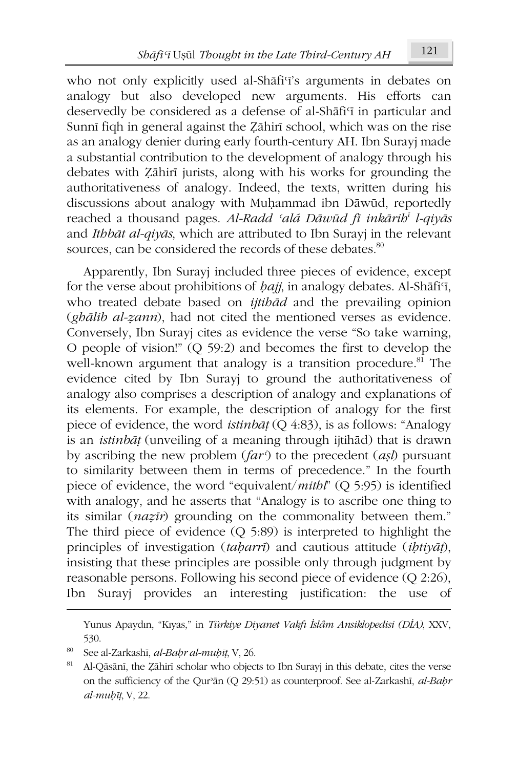who not only explicitly used al-Shafi'i's arguments in debates on analogy but also developed new arguments. His efforts can deservedly be considered as a defense of al-Shafi'i in particular and Sunnī figh in general against the Zāhirī school, which was on the rise as an analogy denier during early fourth-century AH. Ibn Surayj made a substantial contribution to the development of analogy through his debates with Zāhirī jurists, along with his works for grounding the authoritativeness of analogy. Indeed, the texts, written during his discussions about analogy with Muhammad ibn Dāwūd, reportedly reached a thousand pages. Al-Radd 'alá Dāwūd fī inkārib<sup>i</sup> l-aivās and Ithbāt al-qiyās, which are attributed to Ibn Surayj in the relevant sources, can be considered the records of these debates.<sup>80</sup>

Apparently, Ibn Surayj included three pieces of evidence, except for the verse about prohibitions of *hajj*, in analogy debates. Al-Shafi'i, who treated debate based on *ijtibad* and the prevailing opinion (ghālib al-zann), had not cited the mentioned verses as evidence. Conversely, Ibn Surayj cites as evidence the verse "So take warning, O people of vision!"  $(Q 59:2)$  and becomes the first to develop the well-known argument that analogy is a transition procedure.<sup>81</sup> The evidence cited by Ibn Surayj to ground the authoritativeness of analogy also comprises a description of analogy and explanations of its elements. For example, the description of analogy for the first piece of evidence, the word *istinbat* ( $Q$  4:83), is as follows: "Analogy is an *istinbat* (unveiling of a meaning through ijtihad) that is drawn by ascribing the new problem  $(far^{\zeta})$  to the precedent (*asl*) pursuant to similarity between them in terms of precedence." In the fourth piece of evidence, the word "equivalent/ $mithl$ " (Q 5:95) is identified with analogy, and he asserts that "Analogy is to ascribe one thing to its similar (nazīr) grounding on the commonality between them." The third piece of evidence  $(Q 5.89)$  is interpreted to highlight the principles of investigation (taharri) and cautious attitude (ihtiyat), insisting that these principles are possible only through judgment by reasonable persons. Following his second piece of evidence (Q 2:26), Ibn Surayi provides an interesting justification: the use of

Yunus Apaydın, "Kıyas," in Türkiye Diyanet Vakfı İslâm Ansiklopedisi (DİA), XXV, 530.

<sup>80</sup> See al-Zarkashī, *al-Bahr al-muhīt*, V, 26.

<sup>81</sup> Al-Qāsānī, the Zāhirī scholar who objects to Ibn Surayj in this debate, cites the verse on the sufficiency of the Qur'an (Q 29:51) as counterproof. See al-Zarkashi, al-Bahr  $al$ - $m$ u $b$ īt, V, 22.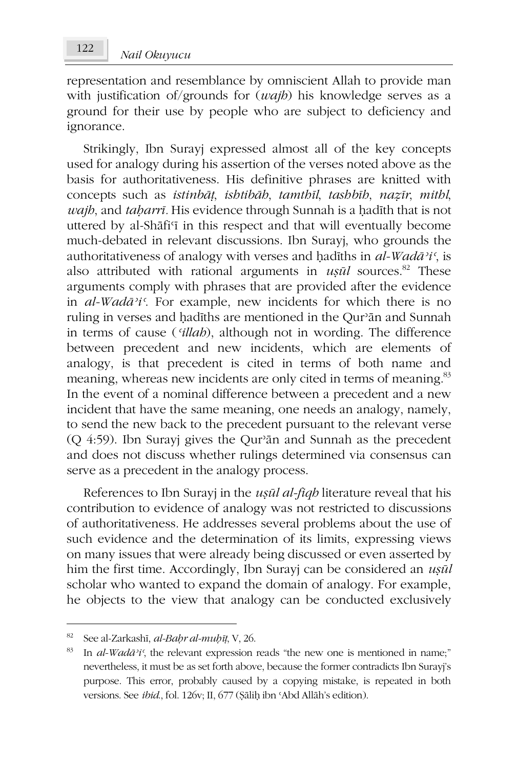representation and resemblance by omniscient Allah to provide man with justification of/grounds for  $(wajb)$  his knowledge serves as a ground for their use by people who are subject to deficiency and ignorance.

Strikingly, Ibn Surayj expressed almost all of the key concepts used for analogy during his assertion of the verses noted above as the basis for authoritativeness. His definitive phrases are knitted with concepts such as istinbāt, ishtibāh, tamthīl, tashbīh, nazīr, mithl, wajb, and taharrī. His evidence through Sunnah is a hadīth that is not uttered by al-Shafi'i in this respect and that will eventually become much-debated in relevant discussions. Ibn Surayi, who grounds the authoritativeness of analogy with verses and hadiths in  $al$ -Wadā<sup>3</sup>i', is also attributed with rational arguments in  $u\sin l$  sources.<sup>82</sup> These arguments comply with phrases that are provided after the evidence in al-Wadā<sup>2</sup>i<sup>c</sup>. For example, new incidents for which there is no ruling in verses and hadīths are mentioned in the Qur'ān and Sunnah in terms of cause ('illab), although not in wording. The difference between precedent and new incidents, which are elements of analogy, is that precedent is cited in terms of both name and meaning, whereas new incidents are only cited in terms of meaning.<sup>83</sup> In the event of a nominal difference between a precedent and a new incident that have the same meaning, one needs an analogy, namely, to send the new back to the precedent pursuant to the relevant verse (Q 4:59). Ibn Surayj gives the Qur'ān and Sunnah as the precedent and does not discuss whether rulings determined via consensus can serve as a precedent in the analogy process.

References to Ibn Surayj in the usul al-figh literature reveal that his contribution to evidence of analogy was not restricted to discussions of authoritativeness. He addresses several problems about the use of such evidence and the determination of its limits, expressing views on many issues that were already being discussed or even asserted by him the first time. Accordingly, Ibn Surayj can be considered an *usul* scholar who wanted to expand the domain of analogy. For example, he objects to the view that analogy can be conducted exclusively

<sup>&</sup>lt;sup>82</sup> See al-Zarkashi, *al-Bahr al-muhit*, V, 26.

<sup>83</sup> In  $al$ -Wadā'i', the relevant expression reads "the new one is mentioned in name;" nevertheless, it must be as set forth above, because the former contradicts Ibn Surayj's purpose. This error, probably caused by a copying mistake, is repeated in both versions. See *ibid.*, fol. 126v; II, 677 (Sālih ibn 'Abd Allāh's edition).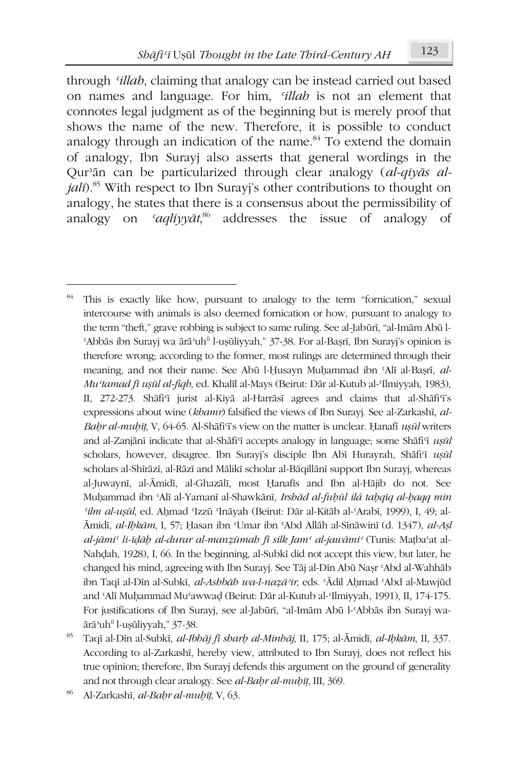through *'illab*, claiming that analogy can be instead carried out based on names and language. For him, *'illah* is not an element that connotes legal judgment as of the beginning but is merely proof that shows the name of the new. Therefore, it is possible to conduct analogy through an indication of the name.<sup>84</sup> To extend the domain of analogy, Ibn Surayi also asserts that general wordings in the Our'ān can be particularized through clear analogy (al-givās al*jali*).<sup>85</sup> With respect to Ibn Surayi's other contributions to thought on analogy, he states that there is a consensus about the permissibility of 'aglivvat<sup>86</sup> addresses the issue of analogy of analogy on

<sup>84</sup> This is exactly like how, pursuant to analogy to the term "fornication," sexual intercourse with animals is also deemed fornication or how, pursuant to analogy to the term "theft," grave robbing is subject to same ruling. See al-Jabūrī, "al-Imām Abū l-'Abbās ibn Surayj wa ārā'uh<sup>ū</sup> l-usūliyyah," 37-38. For al-Basrī, Ibn Surayj's opinion is therefore wrong; according to the former, most rulings are determined through their meaning, and not their name. See Abū l-Husayn Muhammad ibn 'Alī al-Başrī, al-Mu'tamad fi usūl al-fiqb, ed. Khalīl al-Mays (Beirut: Dār al-Kutub al-Ilmiyyah, 1983), II, 272-273. Shāfi<sup>c</sup>i jurist al-Kiyā al-Harrāsī agrees and claims that al-Shāfi<sup>c</sup>i's expressions about wine (khamr) falsified the views of Ibn Surayi. See al-Zarkashī, al-Bahr al-muhīt, V, 64-65. Al-Shāfi'i's view on the matter is unclear. Hanafī usūl writers and al-Zanjānī indicate that al-Shāfi'ī accepts analogy in language; some Shāfi'ī ușūl scholars, however, disagree. Ibn Surayj's disciple Ibn Abī Hurayrah, Shāfi iusūl scholars al-Shīrāzī, al-Rāzī and Mālikī scholar al-Bāqillānī support Ibn Surayj, whereas al-Juwaynī, al-Āmidī, al-Ghazālī, most Ḥanafīs and Ibn al-Hājib do not. See Muhammad ibn 'Alī al-Yamanī al-Shawkānī, Irshād al-fuhūl ilá tahqīq al-haqq min 'ilm al-ușūl, ed. Aḥmad 'Izzū 'Ināyah (Beirut: Dār al-Kitāb al-'Arabī, 1999), I, 49; al-Āmidī, al-Ibkām, I, 57; Ḥasan ibn Umar ibn 'Abd Allāh al-Sīnāwinī (d. 1347), al-Așl al-jāmi<sup>c</sup> li-īdāh al-durar al-manzūmah fī silk Jam<sup>c</sup> al-jawāmi<sup>c</sup> (Tunis: Matba<sup>c</sup>at al-Nahdah, 1928), I, 66. In the beginning, al-Subkī did not accept this view, but later, he changed his mind, agreeing with Ibn Surayj. See Tāj al-Dīn Abū Nasr 'Abd al-Wahhāb ibn Taqī al-Dīn al-Subkī, al-Ashbāh wa-l-nazā'ir, eds. 'Ādil Ahmad 'Abd al-Mawjūd and 'Alī Muhammad Mu'awwad (Beirut: Dār al-Kutub al-'Ilmiyyah, 1991), II, 174-175. For justifications of Ibn Surayj, see al-Jabūrī, "al-Imām Abū l-'Abbās ibn Surayj waārā'uh<sup>ū</sup> l-usūliyyah," 37-38.

<sup>85</sup> Taqī al-Dīn al-Subkī, al-Ibhāj fī sharb al-Minhāj, II, 175; al-Āmidī, al-Ibkām, II, 337. According to al-Zarkashī, hereby view, attributed to Ibn Surayj, does not reflect his true opinion; therefore, Ibn Surayj defends this argument on the ground of generality and not through clear analogy. See al-Bahr al-muhīț, III, 369.

Al-Zarkashī, al-Bahr al-muhīț, V, 63.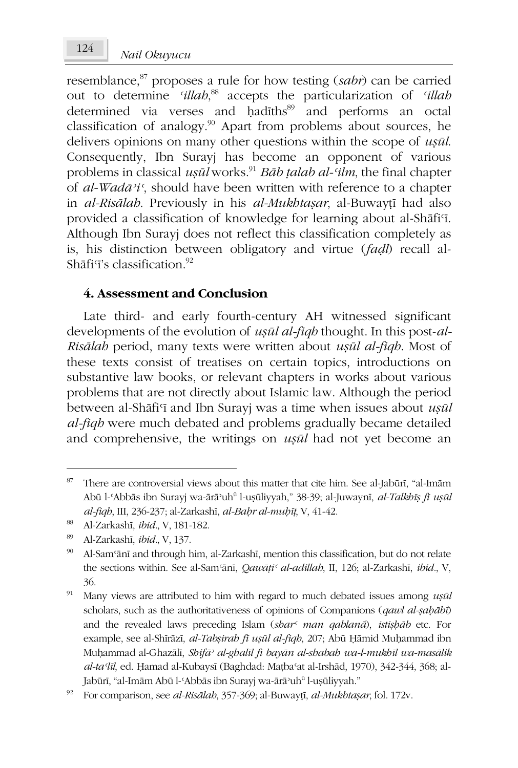resemblance, $87$  proposes a rule for how testing (sabr) can be carried out to determine 'illab,<sup>88</sup> accepts the particularization of 'illab determined via verses and hadiths<sup>89</sup> and performs an octal classification of analogy.<sup>90</sup> Apart from problems about sources, he delivers opinions on many other questions within the scope of  $u$ sūl. Consequently, Ibn Surayi has become an opponent of various problems in classical  $u$ sūl works.<sup>91</sup> Bāb talab al-'ilm, the final chapter of al-Wadā'i', should have been written with reference to a chapter in al-Risālah. Previously in his al-Mukhtaşar, al-Buwayțī had also provided a classification of knowledge for learning about al-Shafi'i. Although Ibn Surayj does not reflect this classification completely as is, his distinction between obligatory and virtue (fadl) recall al-Shāfi<sup> $7$ </sup>'s classification.<sup>92</sup>

### 4. Assessment and Conclusion

Late third- and early fourth-century AH witnessed significant developments of the evolution of *usul al-figh* thought. In this post-al-Risālab period, many texts were written about usūl al-fiqb. Most of these texts consist of treatises on certain topics, introductions on substantive law books, or relevant chapters in works about various problems that are not directly about Islamic law. Although the period between al-Shāfi'i and Ibn Surayj was a time when issues about ușūl al-figh were much debated and problems gradually became detailed and comprehensive, the writings on *usul* had not yet become an

<sup>87</sup> There are controversial views about this matter that cite him. See al-Jabūrī, "al-Imām Abū l-'Abbās ibn Surayj wa-ārā uhū l-ușūliyyah," 38-39; al-Juwaynī, al-Talkhīș fi ușūl al-fiqb, III, 236-237; al-Zarkashī, al-Bahr al-muhīț, V, 41-42.

<sup>88</sup> Al-Zarkashī, ibid., V, 181-182.

<sup>89</sup> Al-Zarkashī, ibid., V, 137.

<sup>90</sup> Al-Sam'ānī and through him, al-Zarkashī, mention this classification, but do not relate the sections within. See al-Sam'ānī, Qawāți' al-adillah, II, 126; al-Zarkashī, ibid., V, 36.

<sup>91</sup> Many views are attributed to him with regard to much debated issues among usul scholars, such as the authoritativeness of opinions of Companions (qawl al-sababi) and the revealed laws preceding Islam (shar<sup>c</sup> man qablana), istishab etc. For example, see al-Shīrāzī, al-Tabșirah fī ușūl al-fiqh, 207; Abū Ḥāmid Muḥammad ibn Muhammad al-Ghazālī, Shifā<sup>,</sup> al-ghalīl fī bayān al-shabah wa-l-mukhīl wa-masālik al-ta'līl, ed. Ḥamad al-Kubaysī (Baghdad: Maṭba'at al-Irshād, 1970), 342-344, 368; al-Jabūrī, "al-Imām Abū l-'Abbās ibn Surayj wa-ārā'uh<sup>ū</sup> l-uşūliyyah."

<sup>92</sup> For comparison, see al-Risālah, 357-369; al-Buwayṭī, al-Mukhtaṣar, fol. 172v.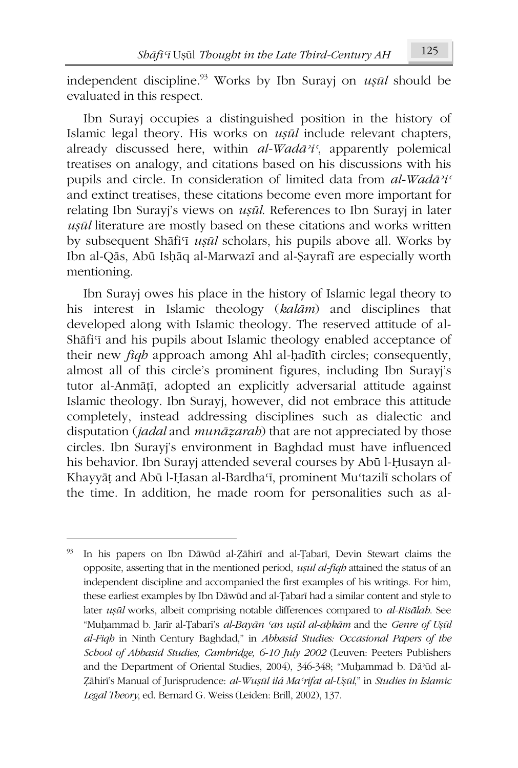independent discipline.<sup>93</sup> Works by Ibn Surayj on *uşūl* should be evaluated in this respect.

Ibn Surayj occupies a distinguished position in the history of Islamic legal theory. His works on *usul* include relevant chapters, already discussed here, within  $al$ -Wad $\bar{a}$ <sup>2</sup>i', apparently polemical treatises on analogy, and citations based on his discussions with his pupils and circle. In consideration of limited data from al-Wadā'i' and extinct treatises, these citations become even more important for relating Ibn Surayj's views on ușul. References to Ibn Surayj in later usūl literature are mostly based on these citations and works written by subsequent Shāfi'i ușul scholars, his pupils above all. Works by Ibn al-Qās, Abū Ishāq al-Marwazī and al-Şayrafī are especially worth mentioning.

Ibn Surayj owes his place in the history of Islamic legal theory to his interest in Islamic theology (kalām) and disciplines that developed along with Islamic theology. The reserved attitude of al-Shāfi'i and his pupils about Islamic theology enabled acceptance of their new *figh* approach among Ahl al-hadith circles; consequently, almost all of this circle's prominent figures, including Ibn Surayj's tutor al-Anmāțī, adopted an explicitly adversarial attitude against Islamic theology. Ibn Surayj, however, did not embrace this attitude completely, instead addressing disciplines such as dialectic and disputation (jadal and munāzarah) that are not appreciated by those circles. Ibn Surayj's environment in Baghdad must have influenced his behavior. Ibn Surayj attended several courses by Abū l-Husayn al-Khayyāṭ and Abū l-Ḥasan al-Bardha'ī, prominent Mu'tazilī scholars of the time. In addition, he made room for personalities such as al-

<sup>93</sup> In his papers on Ibn Dāwūd al-Zāhirī and al-Țabarī, Devin Stewart claims the opposite, asserting that in the mentioned period, usul al-fiqh attained the status of an independent discipline and accompanied the first examples of his writings. For him, these earliest examples by Ibn Dāwūd and al-Țabarī had a similar content and style to later ușul works, albeit comprising notable differences compared to al-Risālah. See "Muhammad b. Jarīr al-Țabarī's al-Bayān 'an ușūl al-ahkām and the Genre of Ușūl al-Fiqh in Ninth Century Baghdad," in Abbasid Studies: Occasional Papers of the School of Abbasid Studies, Cambridge, 6-10 July 2002 (Leuven: Peeters Publishers and the Department of Oriental Studies, 2004), 346-348; "Muhammad b. Dā'ūd al-Zāhirī's Manual of Jurisprudence: al-Wușūl ilá Ma'rifat al-Ușūl," in Studies in Islamic Legal Theory, ed. Bernard G. Weiss (Leiden: Brill, 2002), 137.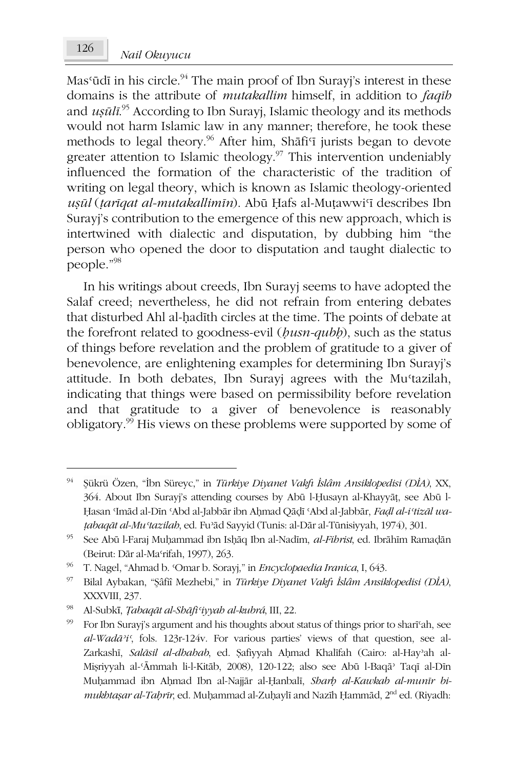Mas'ūdī in his circle.<sup>94</sup> The main proof of Ibn Surayj's interest in these domains is the attribute of *mutakallim* himself, in addition to *faqib* and  $us\bar{u}l\bar{i}^{.95}$  According to Ibn Surayj, Islamic theology and its methods would not harm Islamic law in any manner; therefore, he took these methods to legal theory.<sup>96</sup> After him, Shafi'i jurists began to devote greater attention to Islamic theology.<sup>97</sup> This intervention undeniably influenced the formation of the characteristic of the tradition of writing on legal theory, which is known as Islamic theology-oriented ușul (tariqat al-mutakallimin). Abū Hafs al-Muțawwi'i describes Ibn Surayj's contribution to the emergence of this new approach, which is intertwined with dialectic and disputation, by dubbing him "the person who opened the door to disputation and taught dialectic to people."98

In his writings about creeds, Ibn Surayj seems to have adopted the Salaf creed; nevertheless, he did not refrain from entering debates that disturbed Ahl al-hadīth circles at the time. The points of debate at the forefront related to goodness-evil (busn-qubb), such as the status of things before revelation and the problem of gratitude to a giver of benevolence, are enlightening examples for determining Ibn Surayi's attitude. In both debates, Ibn Surayj agrees with the Mu'tazilah, indicating that things were based on permissibility before revelation and that gratitude to a giver of benevolence is reasonably obligatory.<sup>99</sup> His views on these problems were supported by some of

<sup>94</sup> Şükrü Özen, "İbn Süreyc," in Türkiye Diyanet Vakfı İslâm Ansiklopedisi (DİA), XX, 364. About Ibn Surayj's attending courses by Abū l-Husayn al-Khayyāţ, see Abū l-Hasan Imād al-Dīn 'Abd al-Jabbār ibn Ahmad Qādī 'Abd al-Jabbār, Fadl al-i'tizāl wațabaqāt al-Mu 'tazilah, ed. Fu'ād Sayyid (Tunis: al-Dār al-Tūnisiyyah, 1974), 301.

<sup>95</sup> See Abū l-Faraj Muhammad ibn Ishāq Ibn al-Nadīm, al-Fibrist, ed. Ibrāhīm Ramadān (Beirut: Dār al-Ma'rifah, 1997), 263.

<sup>96</sup> T. Nagel, "Ahmad b. 'Omar b. Sorayj," in Encyclopaedia Iranica, I, 643.

<sup>97</sup> Bilal Aybakan, "Şâfîî Mezhebi," in Türkiye Diyanet Vakfı İslâm Ansiklopedisi (DİA), XXXVIII, 237.

 $98\,$ Al-Subkī, Țabaqāt al-Shāfi'iyyah al-kubrá, III, 22.

<sup>99</sup> For Ibn Surayj's argument and his thoughts about status of things prior to shari'ah, see  $al$ -Wadā<sup>2</sup>i', fols. 123r-124v. For various parties' views of that question, see al-Zarkashī, Salāsil al-dhahab, ed. Şafiyyah Ahmad Khalīfah (Cairo: al-Hay'ah al-Mișriyyah al-'Āmmah li-l-Kitāb, 2008), 120-122; also see Abū l-Baqā' Taqī al-Dīn Muhammad ibn Ahmad Ibn al-Najjār al-Ḥanbalī, Sharh al-Kawkab al-munīr bimukhtaşar al-Tahrīr, ed. Muhammad al-Zuhaylī and Nazīh Ḥammād, 2<sup>nd</sup> ed. (Riyadh: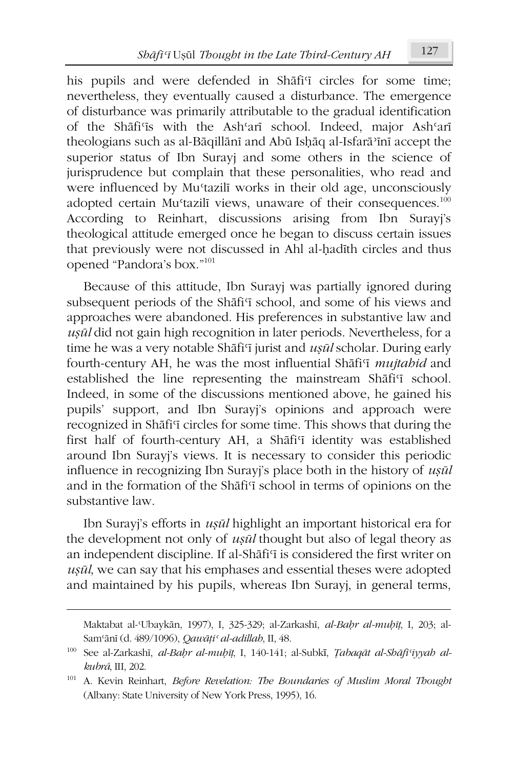his pupils and were defended in Shafi<sup>q</sup> circles for some time; nevertheless, they eventually caused a disturbance. The emergence of disturbance was primarily attributable to the gradual identification of the Shafi'is with the Ash'ari school. Indeed, major Ash'ari theologians such as al-Bāqillānī and Abū Ishāq al-Isfarā'īnī accept the superior status of Ibn Surayi and some others in the science of jurisprudence but complain that these personalities, who read and were influenced by Mu'tazili works in their old age, unconsciously adopted certain Mu'tazilī views, unaware of their consequences.<sup>100</sup> According to Reinhart, discussions arising from Ibn Surayi's theological attitude emerged once he began to discuss certain issues that previously were not discussed in Ahl al-hadīth circles and thus opened "Pandora's box."<sup>101</sup>

Because of this attitude, Ibn Surayi was partially ignored during subsequent periods of the Shafi'i school, and some of his views and approaches were abandoned. His preferences in substantive law and usūl did not gain high recognition in later periods. Nevertheless, for a time he was a very notable Shāfi'i jurist and *usūl* scholar. During early fourth-century AH, he was the most influential Shafi'i mujtabid and established the line representing the mainstream Shafi'i school. Indeed, in some of the discussions mentioned above, he gained his pupils' support, and Ibn Surayj's opinions and approach were recognized in Shafi'i circles for some time. This shows that during the first half of fourth-century AH, a Shafi'i identity was established around Ibn Surayj's views. It is necessary to consider this periodic influence in recognizing Ibn Surayj's place both in the history of usul and in the formation of the Shafi'i school in terms of opinions on the substantive law.

Ibn Surayi's efforts in *ușūl* highlight an important historical era for the development not only of *usul* thought but also of legal theory as an independent discipline. If al-Shafi'i is considered the first writer on usul, we can say that his emphases and essential theses were adopted and maintained by his pupils, whereas Ibn Surayj, in general terms,

Maktabat al-Ubaykān, 1997), I, 325-329; al-Zarkashī, al-Bahr al-muhīț, I, 203; al-Sam'ānī (d. 489/1096), Qawāți<sup>c</sup> al-adillah, II, 48.

<sup>100</sup> See al-Zarkashī, al-Bahr al-muhīț, I, 140-141; al-Subkī, Țabaqāt al-Shāfi'iyyah alkubrá, III, 202.

<sup>&</sup>lt;sup>101</sup> A. Kevin Reinhart, Before Revelation: The Boundaries of Muslim Moral Thought (Albany: State University of New York Press, 1995), 16.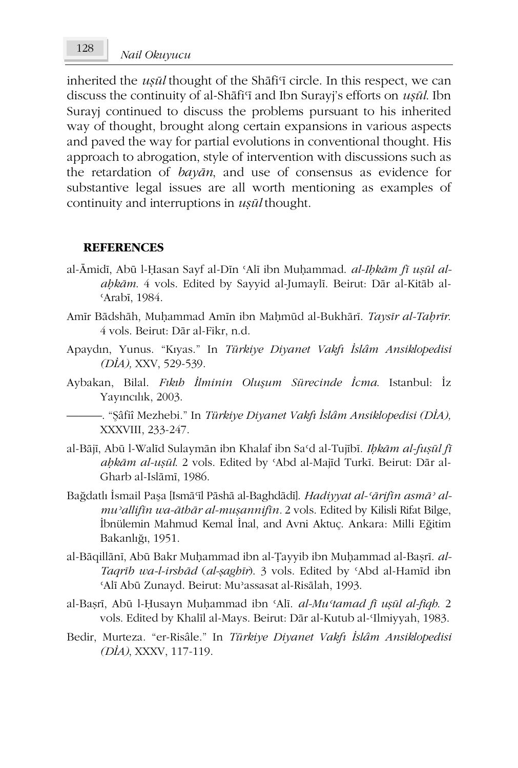inherited the *usūl* thought of the Shāfi'i circle. In this respect, we can discuss the continuity of al-Shafi'i and Ibn Surayj's efforts on usul. Ibn Surayj continued to discuss the problems pursuant to his inherited way of thought, brought along certain expansions in various aspects and paved the way for partial evolutions in conventional thought. His approach to abrogation, style of intervention with discussions such as the retardation of bayan, and use of consensus as evidence for substantive legal issues are all worth mentioning as examples of continuity and interruptions in usul thought.

#### **REFERENCES**

- al-Āmidī, Abū l-Ḥasan Sayf al-Dīn 'Alī ibn Muḥammad. al-Ihkām fī uṣūl alabkām. 4 vols. Edited by Sayyid al-Jumaylī. Beirut: Dār al-Kitāb al-'Arabī. 1984.
- Amīr Bādshāh, Muḥammad Amīn ibn Maḥmūd al-Bukhārī. Taysīr al-Taḥrīr. 4 vols. Beirut: Dār al-Fikr, n.d.
- Apaydın, Yunus. "Kıyas." In Türkiye Diyanet Vakfı İslâm Ansiklopedisi  $(DIA)$ , XXV, 529-539.
- Aybakan, Bilal. Fıkıb İlminin Oluşum Sürecinde İcma. Istanbul: İz Yayıncılık, 2003.
	- -. "Şâfiî Mezhebi." In *Türkiye Diyanet Vakfı İslâm Ansiklopedisi (DİA)*, XXXVIII, 233-247.
- al-Bājī, Abū l-Walīd Sulaymān ibn Khalaf ibn Sa'd al-Tujībī. Ibkām al-fușūl fī abkām al-usūl. 2 vols. Edited by 'Abd al-Majīd Turkī. Beirut: Dār al-Gharb al-Islāmī, 1986.
- Bağdatlı İsmail Paşa [Ismā°īl Pāshā al-Baghdādī]. Hadiyyat al-'ārifīn asmā' almu'allifin wa-āthār al-mușannifin. 2 vols. Edited by Kilisli Rifat Bilge, İbnülemin Mahmud Kemal İnal, and Avni Aktuç. Ankara: Milli Eğitim Bakanlığı, 1951.
- al-Bāqillānī, Abū Bakr Muhammad ibn al-Țayyib ibn Muhammad al-Bașrī. al-Taqrib wa-l-irshād (al-șaghīr). 3 vols. Edited by 'Abd al-Hamīd ibn 'Alī Abū Zunayd. Beirut: Mu'assasat al-Risālah, 1993.
- al-Başrī, Abū l-Husayn Muhammad ibn 'Alī. al-Mu'tamad fī uşūl al-fiqh. 2 vols. Edited by Khalīl al-Mays. Beirut: Dār al-Kutub al-Ilmiyyah, 1983.
- Bedir, Murteza. "er-Risâle." In Türkiye Diyanet Vakfı İslâm Ansiklopedisi (DİA), XXXV, 117-119.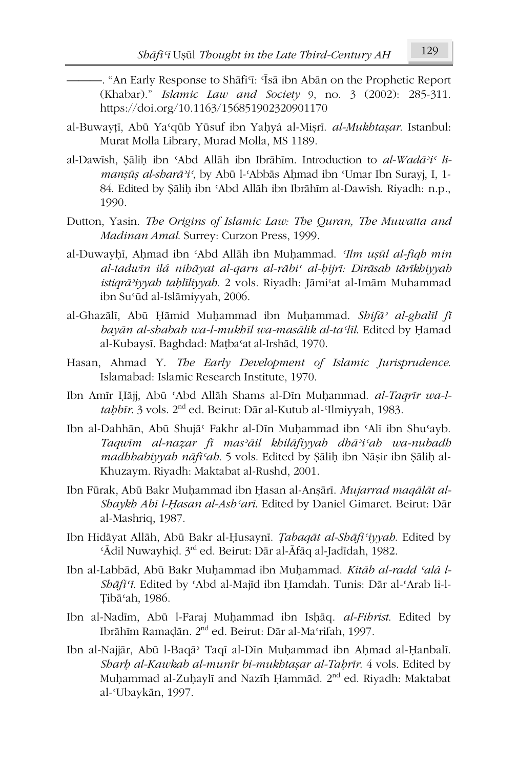- "An Early Response to Shāfi'ī: 'Īsā ibn Abān on the Prophetic Report (Khabar)." Islamic Law and Society 9, no. 3 (2002): 285-311. https://doi.org/10.1163/156851902320901170
- al-Buwayțī, Abū Ya'qūb Yūsuf ibn Yaḥyá al-Mișrī. al-Mukhtașar. Istanbul: Murat Molla Library, Murad Molla, MS 1189.
- al-Dawish, Sālih ibn 'Abd Allāh ibn Ibrāhīm. Introduction to al-Wadā'i' limansūs al-sharā'i', by Abū l-'Abbās Ahmad ibn 'Umar Ibn Surayi, I, 1-84. Edited by Sālih ibn 'Abd Allāh ibn Ibrāhīm al-Dawīsh. Riyadh: n.p., 1990.
- Dutton, Yasin. The Origins of Islamic Law: The Ouran, The Muwatta and Madinan Amal. Surrey: Curzon Press, 1999.
- al-Duwayhī, Ahmad ibn 'Abd Allāh ibn Muhammad. 'Ilm usūl al-figh min al-tadwīn ilá nibāyat al-garn al-rābis al-bijrī: Dirāsab tārīkbiyyab istiqrā'iyyah tahlīliyyah. 2 vols. Riyadh: Jāmi'at al-Imām Muhammad ibn Su'ūd al-Islāmiyyah, 2006.
- al-Ghazālī, Abū Hāmid Muhammad ibn Muhammad. Shifā<sup>,</sup> al-ghalīl fī bayān al-shabah wa-l-mukhīl wa-masālik al-ta'līl. Edited by Hamad al-Kubaysī. Baghdad: Matba'at al-Irshād, 1970.
- Hasan, Ahmad Y. The Early Development of Islamic Jurisprudence. Islamabad: Islamic Research Institute, 1970.
- Ibn Amīr Hāji, Abū 'Abd Allāh Shams al-Dīn Muhammad. al-Tagrīr wa-ltabbīr. 3 vols. 2<sup>nd</sup> ed. Beirut: Dār al-Kutub al-Ilmiyyah, 1983.
- Ibn al-Dahhān, Abū Shujā<sup>c</sup> Fakhr al-Dīn Muḥammad ibn 'Alī ibn Shu'ayb. Taqwim al-nazar fi mas'āil khilāfiyyah dhā'i'ah wa-nubadh madhhabiyyah nāfi'ah. 5 vols. Edited by Şālih ibn Nāșir ibn Şālih al-Khuzaym. Riyadh: Maktabat al-Rushd, 2001.
- Ibn Fürak, Abū Bakr Muhammad ibn Hasan al-Anşārī. Mujarrad magālāt al-Shaykh Abī l-Hasan al-Ash'arī. Edited by Daniel Gimaret. Beirut: Dār al-Mashriq, 1987.
- Ibn Hidāyat Allāh, Abū Bakr al-Ḥusaynī. *Tabaqāt al-Shāfi'iyyah*. Edited by 'Ādil Nuwayhid. 3rd ed. Beirut: Dār al-Āfāq al-Jadīdah, 1982.
- Ibn al-Labbād, Abū Bakr Muhammad ibn Muhammad. Kitāb al-radd 'alá l-Shāfi'ī. Edited by 'Abd al-Majīd ibn Hamdah. Tunis: Dār al-'Arab li-l-Tibā'ah, 1986.
- Ibn al-Nadīm, Abū l-Faraj Muhammad ibn Ishāq. al-Fibrist. Edited by Ibrāhīm Ramadān. 2<sup>nd</sup> ed. Beirut: Dār al-Ma<sup>c</sup>rifah, 1997.
- Ibn al-Najjār, Abū l-Baqā<sup>,</sup> Taqī al-Dīn Muhammad ibn Ahmad al-Ḥanbalī. Sharh al-Kawkab al-munīr bi-mukhtaşar al-Taḥrīr. 4 vols. Edited by Muhammad al-Zuhaylī and Nazīh Hammād. 2<sup>nd</sup> ed. Riyadh: Maktabat al-Ubaykān, 1997.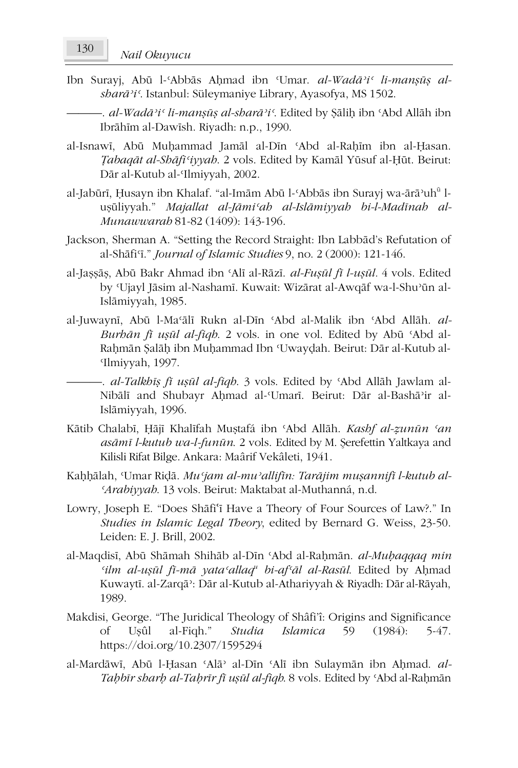Ibn Surayj, Abū l-'Abbās Ahmad ibn 'Umar. al-Wadā'i' li-manșūș alsharā'i'. Istanbul: Süleymaniye Library, Ayasofya, MS 1502.

-. al-Wadā'i' li-manşūş al-sharā'i'. Edited by Şāliḥ ibn 'Abd Allāh ibn Ibrāhīm al-Dawīsh. Riyadh: n.p., 1990.

- al-Isnawī, Abū Muhammad Jamāl al-Dīn 'Abd al-Rahīm ibn al-Hasan, Tabagāt al-Shāfi'iyyah. 2 vols. Edited by Kamāl Yūsuf al-Hūt. Beirut: Dār al-Kutub al-Ilmiyyah. 2002.
- al-Jabūrī, Husayn ibn Khalaf. "al-Imām Abū l-'Abbās ibn Surayj wa-ārā'uh<sup>ū</sup> luşüliyyah." Majallat al-Jāmi'ab al-Islāmiyyab bi-l-Madīnab al-Munawwarah 81-82 (1409): 143-196.
- Jackson, Sherman A. "Setting the Record Straight: Ibn Labbād's Refutation of al-Shāfi'i." *Journal of Islamic Studies* 9, no. 2 (2000): 121-146.
- al-Jașșāș, Abū Bakr Ahmad ibn 'Alī al-Rāzī. al-Fușūl fī l-ușūl. 4 vols. Edited by 'Ujayl Jāsim al-Nashamī. Kuwait: Wizārat al-Awqāf wa-l-Shu'ūn al-Islāmiyyah, 1985.
- al-Juwaynī, Abū l-Ma'ālī Rukn al-Dīn 'Abd al-Malik ibn 'Abd Allāh. al-Burbān fī usūl al-fiqb. 2 vols. in one vol. Edited by Abū 'Abd al-Rahmān Salāh ibn Muhammad Ibn 'Uwaydah. Beirut: Dār al-Kutub al-Ilmiyyah, 1997.

-. al-Talkbīs fī usūl al-figb. 3 vols. Edited by 'Abd Allāh Jawlam al-Nibālī and Shubayr Ahmad al-Umarī. Beirut: Dār al-Bashā'ir al-Islāmiyyah, 1996.

- Kātib Chalabī, Ḥājī Khalīfah Muștafá ibn 'Abd Allāh. Kashf al-zunūn 'an asāmī l-kutub wa-l-funūn. 2 vols. Edited by M. Şerefettin Yaltkaya and Kilisli Rifat Bilge. Ankara: Maârif Vekâleti, 1941.
- Kaḥḥālah, Umar Riḍā. Mu'jam al-mu'allifīn: Tarājim muṣannifī l-kutub al-'Arabiyyah. 13 vols. Beirut: Maktabat al-Muthanná, n.d.
- Lowry, Joseph E. "Does Shāfi'i Have a Theory of Four Sources of Law?." In Studies in Islamic Legal Theory, edited by Bernard G. Weiss, 23-50. Leiden: E. J. Brill, 2002.
- al-Maqdisī, Abū Shāmah Shihāb al-Dīn 'Abd al-Rahmān. al-Muhaqqaq min 'ilm al-usūl fī-mā yata'allaq<sup>u</sup> bi-af'āl al-Rasūl. Edited by Ahmad Kuwaytī. al-Zarqā<sup>3</sup>: Dār al-Kutub al-Athariyyah & Riyadh: Dār al-Rāyah, 1989.
- Makdisi, George. "The Juridical Theology of Shâfi'î: Origins and Significance Usûl al-Figh." **Studia** *Islamica* 59  $(1984):$  $5-47.$ of https://doi.org/10.2307/1595294
- al-Mardāwī, Abū l-Ḥasan 'Alā' al-Dīn 'Alī ibn Sulaymān ibn Aḥmad. al-Tabbīr sharb al-Tabrīr fī uşūl al-fiqh. 8 vols. Edited by 'Abd al-Rahmān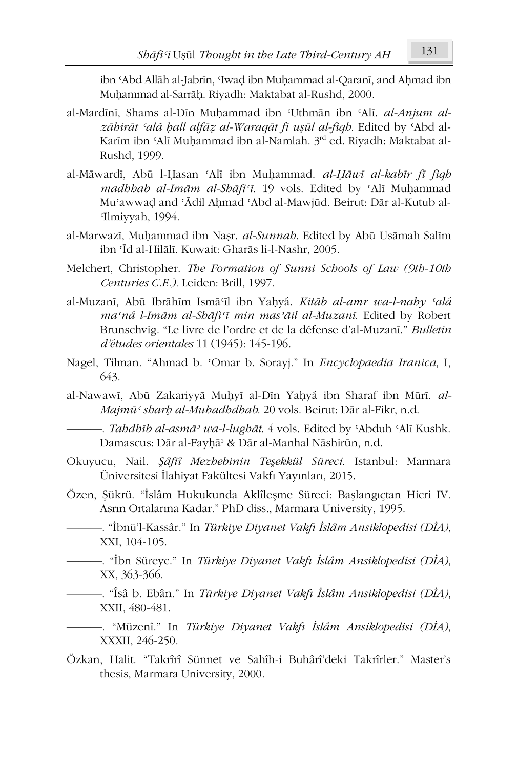ibn 'Abd Allāh al-Jabrīn, 'Iwad ibn Muḥammad al-Qaranī, and Aḥmad ibn Muhammad al-Sarrāh. Riyadh: Maktabat al-Rushd, 2000.

- al-Mardīnī, Shams al-Dīn Muhammad ibn 'Uthmān ibn 'Alī. al-Anjum alzābirāt 'alá ball alfāz al-Waragāt fī usūl al-figb. Edited by 'Abd al-Karīm ibn 'Alī Muhammad ibn al-Namlah. 3rd ed. Riyadh: Maktabat al-Rushd, 1999.
- al-Māwardī, Abū l-Ḥasan 'Alī ibn Muḥammad. al-Ḥāwī al-kabīr fī fiqh madhhab al-Imām al-Shāfi'ī. 19 vols. Edited by 'Alī Muhammad Mu'awwad and 'Ādil Ahmad 'Abd al-Mawjūd. Beirut: Dār al-Kutub al-Ilmiyyah, 1994.
- al-Marwazī, Muhammad ibn Nașr. al-Sunnah. Edited by Abū Usāmah Salīm ibn 'Īd al-Hilālī. Kuwait: Gharās li-l-Nashr, 2005.
- Melchert, Christopher. The Formation of Sunni Schools of Law (9th-10th Centuries C.E.). Leiden: Brill, 1997.
- al-Muzanī, Abū Ibrāhīm Ismā'īl ibn Yaḥyá. Kitāb al-amr wa-l-nahy 'alá ma'ná l-Imām al-Shāfi'ī min mas'āil al-Muzanī. Edited by Robert Brunschvig. "Le livre de l'ordre et de la défense d'al-Muzani." Bulletin d'études orientales 11 (1945): 145-196.
- Nagel, Tilman. "Ahmad b. 'Omar b. Sorayj." In Encyclopaedia Iranica, I, 643.
- al-Nawawī, Abū Zakariyyā Muhyī al-Dīn Yahyá ibn Sharaf ibn Mūrī. al-Majmū<sup>c</sup> sharh al-Muhadhdhah. 20 vols. Beirut: Dār al-Fikr, n.d.

Damascus: Dār al-Fayhā<sup>, &</sup> Dār al-Manhal Nāshirūn, n.d.

- Okuyucu, Nail. Şâfiî Mezhebinin Teşekkül Süreci. Istanbul: Marmara Üniversitesi İlahiyat Fakültesi Vakfı Yayınları, 2015.
- Özen, Şükrü. "İslâm Hukukunda Aklîleşme Süreci: Başlangıçtan Hicri IV. Asrın Ortalarına Kadar." PhD diss., Marmara University, 1995.
	- –. "İbnü'l-Kassâr." In *Türkiye Diyanet Vakfı İslâm Ansiklopedisi (DİA)*, XXI, 104-105.
	- ibn Süreyc." In Türkiye Diyanet Vakfı İslâm Ansiklopedisi (DİA), XX, 363-366.

—. "Îsâ b. Ebân." In *Türkiye Diyanet Vakfı İslâm Ansiklopedisi (DİA)*, XXII, 480-481.

- "Müzenî." In Türkiye Diyanet Vakfı İslâm Ansiklopedisi (DİA), XXXII, 246-250.

Özkan, Halit. "Takrîrî Sünnet ve Sahîh-i Buhârî'deki Takrîrler." Master's thesis, Marmara University, 2000.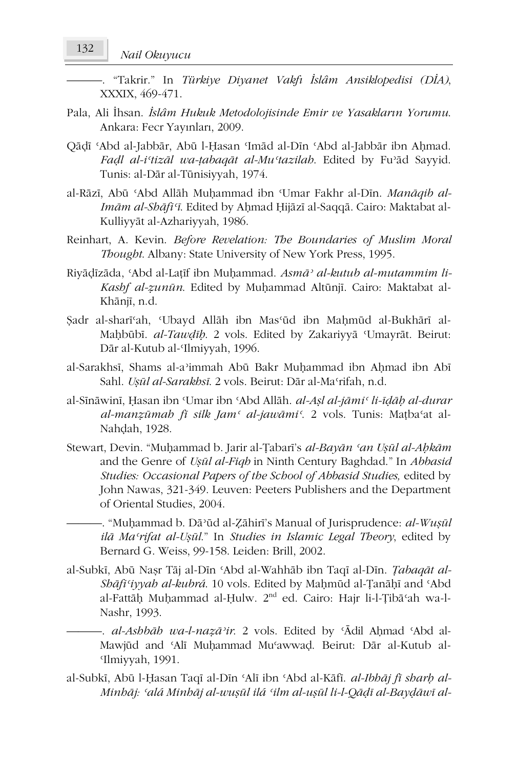-. "Takrir." In *Türkiye Diyanet Vakfı İslâm Ansiklopedisi (DİA)*, XXXIX, 469-471.

- Pala, Ali İhsan. İslâm Hukuk Metodolojisinde Emir ve Yasakların Yorumu. Ankara: Fecr Yayınları, 2009.
- Qādī 'Abd al-Jabbār, Abū l-Hasan 'Imād al-Dīn 'Abd al-Jabbār ibn Ahmad. Fadl al-i'tizāl wa-tabagāt al-Mu'tazilah. Edited by Fu'ād Sayyid. Tunis: al-Dār al-Tūnisivvah. 1974.
- al-Rāzī, Abū 'Abd Allāh Muhammad ibn 'Umar Fakhr al-Dīn. Manāqib al-Imām al-Shāfi'ī. Edited by Aḥmad Ḥijāzī al-Saqqā. Cairo: Maktabat al-Kulliyyāt al-Azhariyyah, 1986.
- Reinhart, A. Kevin. Before Revelation: The Boundaries of Muslim Moral Thought. Albany: State University of New York Press, 1995.
- Riyādīzāda, 'Abd al-Latīf ibn Muhammad. Asmā' al-kutub al-mutammim li-Kashf al-zunūn. Edited by Muhammad Altūnjī. Cairo: Maktabat al-Khānjī, n.d.
- Şadr al-shari'ah, 'Ubayd Allāh ibn Mas'ūd ibn Mahmūd al-Bukhārī al-Maḥbūbī. al-Tawdīḥ. 2 vols. Edited by Zakariyyā Umayrāt. Beirut: Dār al-Kutub al-'Ilmiyyah, 1996.
- al-Sarakhsī, Shams al-a'immah Abū Bakr Muhammad ibn Ahmad ibn Abī Sahl. Uşūl al-Sarakhsī. 2 vols. Beirut: Dār al-Ma'rifah, n.d.
- al-Sīnāwinī, Ḥasan ibn 'Umar ibn 'Abd Allāh. al-Așl al-jāmi' li-īḍāḥ al-durar al-manzūmab fī silk Jam<sup>c</sup> al-jawāmi<sup>c</sup>. 2 vols. Tunis: Mațba'at al-Nahdah, 1928.
- Stewart, Devin. "Muhammad b. Jarir al-Țabari's al-Bayān 'an Ușūl al-Ahkām and the Genre of Ușūl al-Fiqh in Ninth Century Baghdad." In Abbasid Studies: Occasional Papers of the School of Abbasid Studies, edited by John Nawas, 321-349. Leuven: Peeters Publishers and the Department of Oriental Studies, 2004.

-. "Muḥammad b. Dā'ūd al-Zāhirī's Manual of Jurisprudence: al-Wuṣūl ilā Ma'rifat al-Uşūl." In Studies in Islamic Legal Theory, edited by Bernard G. Weiss, 99-158. Leiden: Brill, 2002.

- al-Subkī, Abū Nașr Tāj al-Dīn 'Abd al-Wahhāb ibn Taqī al-Dīn. Tabaqāt al-Shāfi'iyyah al-kubrá. 10 vols. Edited by Mahmūd al-Țanāḥī and 'Abd al-Fattāḥ Muḥammad al-Ḥulw. 2<sup>nd</sup> ed. Cairo: Hajr li-l-Țibā ah wa-l-Nashr, 1993.
	- al-Ashbāh wa-l-nazā'ir. 2 vols. Edited by 'Ādil Ahmad 'Abd al-Mawjūd and 'Alī Muḥammad Mu'awwaḍ. Beirut: Dār al-Kutub al-Ilmiyyah, 1991.
- al-Subkī, Abū l-Ḥasan Taqī al-Dīn 'Alī ibn 'Abd al-Kāfī. al-Ibhāj fī sharh al-Minbāj: 'alá Minbāj al-wuşūl ilá 'ilm al-uşūl li-l-Qāḍī al-Bayḍāwī al-